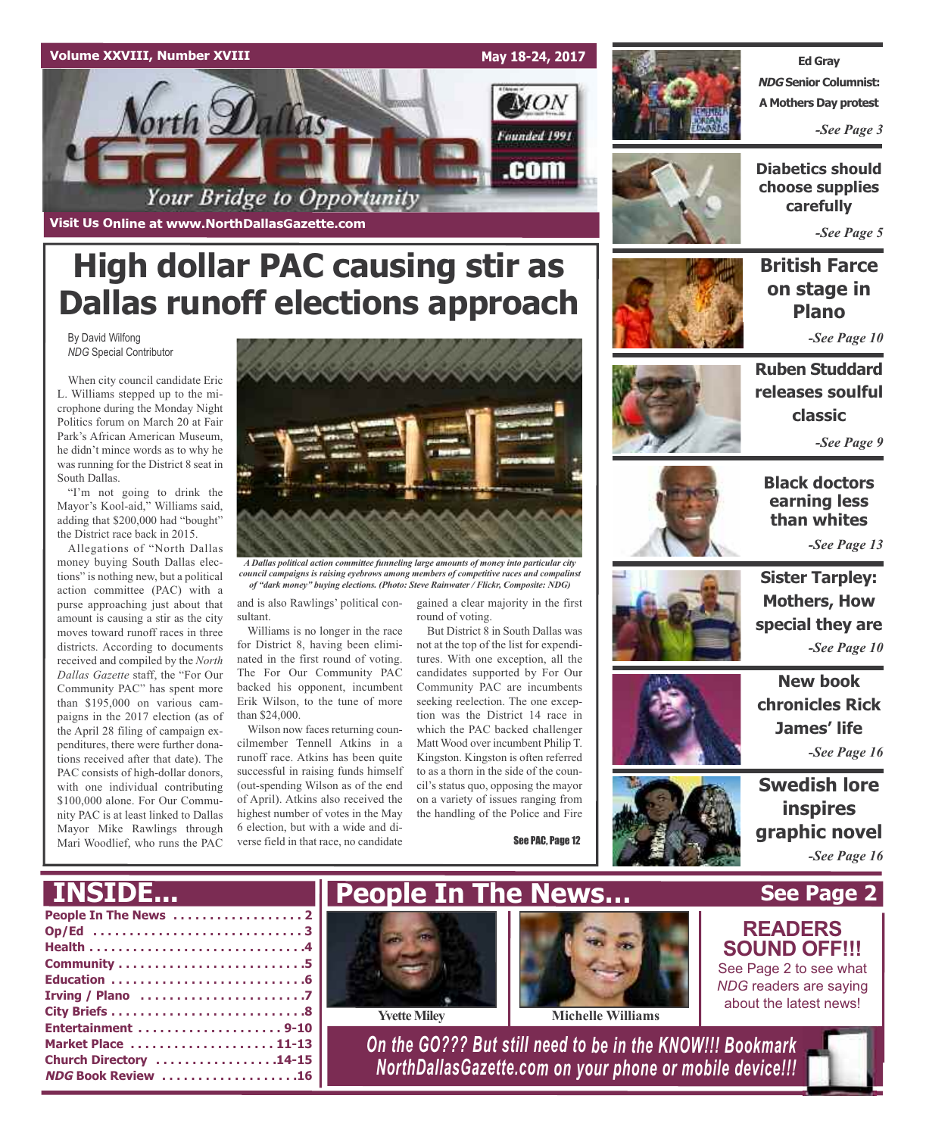



## **High dollar PAC causing stir as Dallas runoff elections approach**

By David Wilfong *NDG* Special Contributor

When city council candidate Eric L. Williams stepped up to the microphone during the Monday Night Politics forum on March 20 at Fair Park's African American Museum, he didn't mince words as to why he was running for the District 8 seat in South Dallas.

"I'm not going to drink the Mayor's Kool-aid," Williams said, adding that \$200,000 had "bought" the District race back in 2015.

Allegations of "North Dallas money buying South Dallas elections" is nothing new, but a political action committee (PAC) with a purse approaching just about that amount is causing a stir as the city moves toward runoff races in three districts. According to documents received and compiled by the *North Dallas Gazette* staff, the "For Our Community PAC" has spent more than \$195,000 on various campaigns in the 2017 election (as of the April 28 filing of campaign expenditures, there were further donations received after that date). The PAC consists of high-dollar donors, with one individual contributing \$100,000 alone. For Our Community PAC is at least linked to Dallas Mayor Mike Rawlings through Mari Woodlief, who runs the PAC



*A Dallas political action committee funneling large amounts of money into particular city council campaigns is raising eyebrows among members of competitive races and compalinst of "dark money" buying elections. (Photo: Steve Rainwater / Flickr, Composite: NDG)*

and is also Rawlings' political consultant.

Williams is no longer in the race for District 8, having been eliminated in the first round of voting. The For Our Community PAC backed his opponent, incumbent Erik Wilson, to the tune of more than \$24,000.

Wilson now faces returning councilmember Tennell Atkins in a runoff race. Atkins has been quite successful in raising funds himself (out-spending Wilson as of the end of April). Atkins also received the highest number of votes in the May 6 election, but with a wide and diverse field in that race, no candidate

gained a clear majority in the first round of voting.

But District 8 in South Dallas was not at the top of the list for expenditures. With one exception, all the candidates supported by For Our Community PAC are incumbents seeking reelection. The one exception was the District 14 race in which the PAC backed challenger Matt Wood over incumbent Philip T. Kingston. Kingston is often referred to as a thorn in the side of the council's status quo, opposing the mayor on a variety of issues ranging from the handling of the Police and Fire

See PAC, Page 12



**Ed Gray NDG Senior Columnist: A Mothers Day protest**

*-See Page 3*



**Diabetics should choose supplies carefully**

*-See Page 5*

**British Farce on stage in Plano** *-See Page 10*

**Ruben Studdard releases soulful classic**

*-See Page 9*



**Black doctors earning less than whites**

*-See Page 13*

**Mothers, How special they are** *-See Page 10*

**Sister Tarpley:**

**New book chronicles Rick James' life** *-See Page 16*



**Swedish lore inspires graphic novel** *-See Page 16*

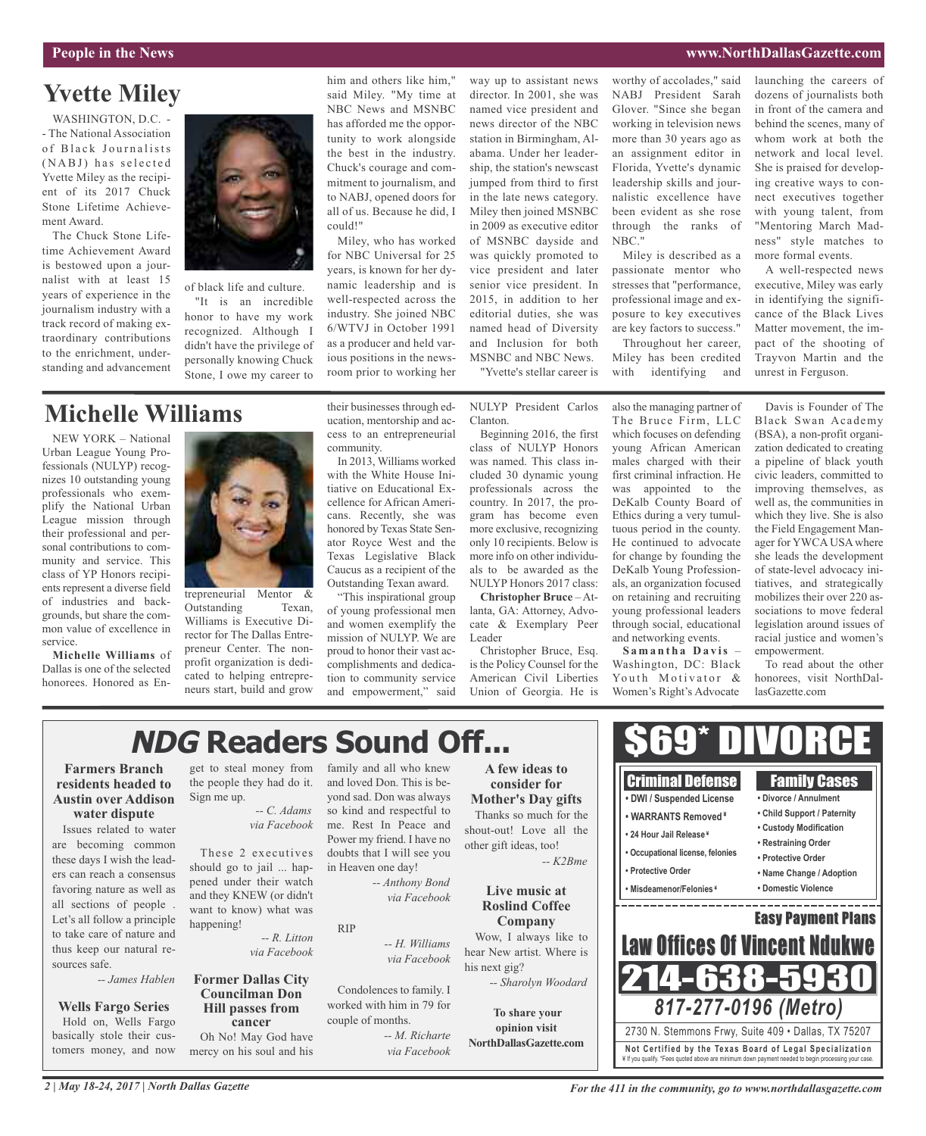### **People in the News www.NorthDallasGazette.com**

### **Yvette Miley**

WASHINGTON, D.C. -- The National Association of Black Journalists (NABJ) has selected Yvette Miley as the recipient of its 2017 Chuck Stone Lifetime Achievement Award.

The Chuck Stone Lifetime Achievement Award is bestowed upon a journalist with at least 15 years of experience in the journalism industry with a track record of making extraordinary contributions to the enrichment, understanding and advancement



of black life and culture. "It is an incredible honor to have my work recognized. Although I didn't have the privilege of personally knowing Chuck Stone, I owe my career to

### **Michelle Williams**

NEW YORK – National Urban League Young Professionals (NULYP) recognizes 10 outstanding young professionals who exemplify the National Urban League mission through their professional and personal contributions to community and service. This class of YP Honors recipients represent a diverse field of industries and backgrounds, but share the common value of excellence in service.

**Michelle Williams** of Dallas is one of the selected honorees. Honored as En-



trepreneurial Mentor & Outstanding Texan, Williams is Executive Director for The Dallas Entrepreneur Center. The nonprofit organization is dedicated to helping entrepreneurs start, build and grow their businesses through education, mentorship and access to an entrepreneurial community.

him and others like him," said Miley. "My time at NBC News and MSNBC has afforded me the opportunity to work alongside the best in the industry. Chuck's courage and commitment to journalism, and to NABJ, opened doors for all of us. Because he did, I

Miley, who has worked for NBC Universal for 25 years, is known for her dynamic leadership and is well-respected across the industry. She joined NBC 6/WTVJ in October 1991 as a producer and held various positions in the newsroom prior to working her

could!"

In 2013, Williams worked with the White House Initiative on Educational Excellence for African Americans. Recently, she was honored by Texas State Senator Royce West and the Texas Legislative Black Caucus as a recipient of the Outstanding Texan award.

"This inspirational group of young professional men and women exemplify the mission of NULYP. We are proud to honor their vast accomplishments and dedication to community service and empowerment," said

way up to assistant news director. In 2001, she was named vice president and news director of the NBC station in Birmingham, Alabama. Under her leadership, the station's newscast jumped from third to first in the late news category. Miley then joined MSNBC in 2009 as executive editor of MSNBC dayside and was quickly promoted to vice president and later senior vice president. In 2015, in addition to her editorial duties, she was named head of Diversity and Inclusion for both MSNBC and NBC News.

"Yvette's stellar career is

NULYP President Carlos Clanton.

Beginning 2016, the first class of NULYP Honors was named. This class included 30 dynamic young professionals across the country. In 2017, the program has become even more exclusive, recognizing only 10 recipients. Below is more info on other individuals to be awarded as the NULYP Honors 2017 class:

**Christopher Bruce** – Atlanta, GA: Attorney, Advocate & Exemplary Peer Leader

Christopher Bruce, Esq. is the Policy Counsel for the American Civil Liberties Union of Georgia. He is

worthy of accolades," said NABJ President Sarah Glover. "Since she began working in television news more than 30 years ago as an assignment editor in Florida, Yvette's dynamic leadership skills and journalistic excellence have been evident as she rose through the ranks of NBC."

Miley is described as a passionate mentor who stresses that "performance, professional image and exposure to key executives are key factors to success."

Throughout her career, Miley has been credited with identifying and

also the managing partner of The Bruce Firm, LLC which focuses on defending young African American males charged with their first criminal infraction. He was appointed to the DeKalb County Board of Ethics during a very tumultuous period in the county. He continued to advocate for change by founding the DeKalb Young Professionals, an organization focused on retaining and recruiting young professional leaders through social, educational and networking events.

**S a m a n t h a D a v is** – Washington, DC: Black Youth Motivator & Women's Right's Advocate

launching the careers of dozens of journalists both in front of the camera and behind the scenes, many of whom work at both the network and local level. She is praised for developing creative ways to connect executives together with young talent, from "Mentoring March Madness" style matches to more formal events.

A well-respected news executive, Miley was early in identifying the significance of the Black Lives Matter movement, the impact of the shooting of Trayvon Martin and the unrest in Ferguson.

Davis is Founder of The Black Swan Academy (BSA), a non-profit organization dedicated to creating a pipeline of black youth civic leaders, committed to improving themselves, as well as, the communities in which they live. She is also the Field Engagement Manager for YWCA USA where she leads the development of state-level advocacy initiatives, and strategically mobilizes their over 220 associations to move federal legislation around issues of racial justice and women's empowerment.

To read about the other honorees, visit NorthDallasGazette.com

## **NDG Readers Sound Off...**

### **Farmers Branch residents headed to Austin over Addison water dispute**

Issues related to water are becoming common these days I wish the leaders can reach a consensus favoring nature as well as all sections of people . Let's all follow a principle to take care of nature and thus keep our natural resources safe.

*-- James Hablen*

### **Wells Fargo Series**

Hold on, Wells Fargo basically stole their customers money, and now

get to steal money from the people they had do it. Sign me up.

#### *-- C. Adams via Facebook*

These 2 executives should go to jail ... happened under their watch and they KNEW (or didn't want to know) what was happening!

> *-- R. Litton via Facebook*

### **Former Dallas City Councilman Don Hill passes from cancer**

Oh No! May God have mercy on his soul and his

family and all who knew and loved Don. This is beyond sad. Don was always so kind and respectful to me. Rest In Peace and Power my friend. I have no doubts that I will see you in Heaven one day!

*-- Anthony Bond via Facebook*

#### RIP

*-- H. Williams via Facebook*

Condolences to family. I worked with him in 79 for couple of months.

*-- M. Richarte via Facebook*

**A few ideas to consider for Mother's Day gifts** Thanks so much for the shout-out! Love all the other gift ideas, too!

> **Live music at Roslind Coffee**

Wow, I always like to hear New artist. Where is his next gig? *-- Sharolyn Woodard*

**To share your opinion visit NorthDallasGazette.com**

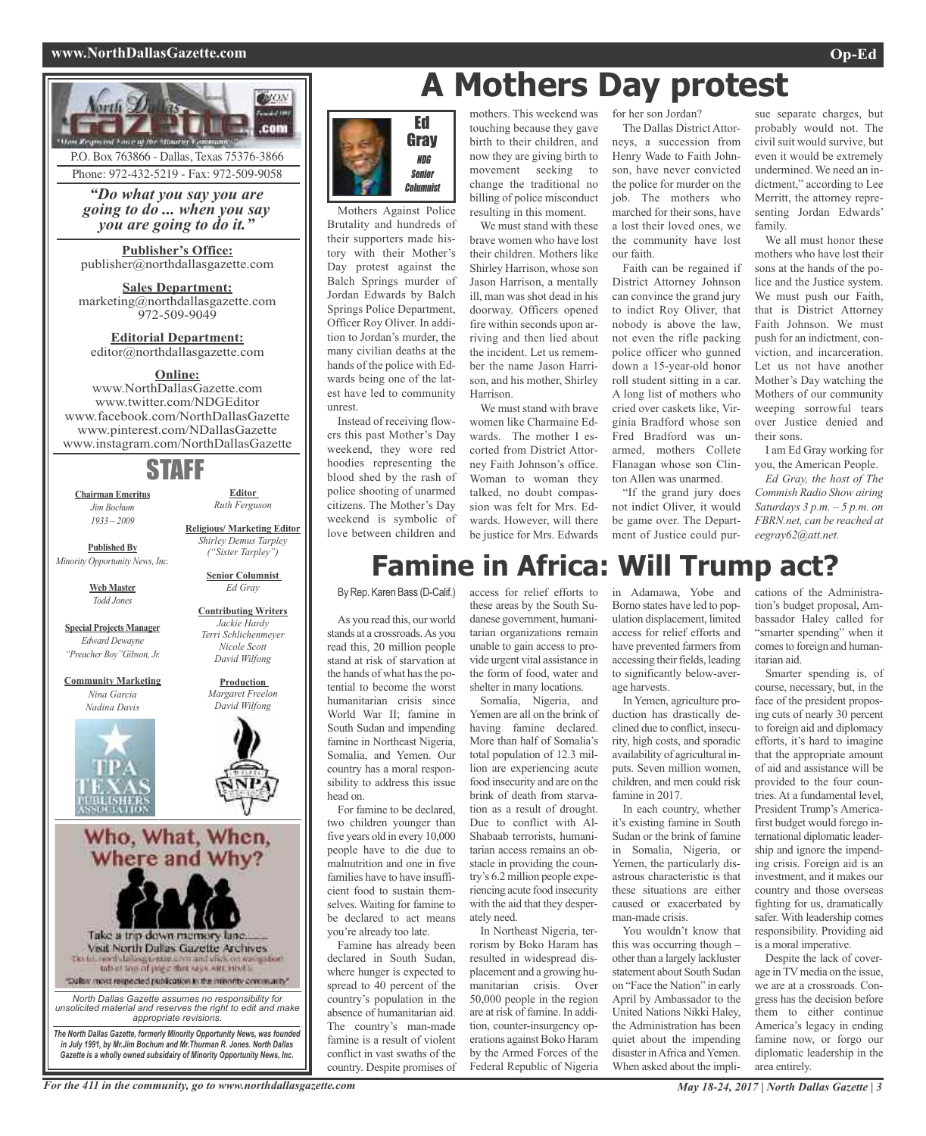### **www.NorthDallasGazette.com Op-Ed**



### Ed Gray NDG Senior **Columnist**

Brutality and hundreds of their supporters made history with their Mother's Day protest against the Balch Springs murder of Jordan Edwards by Balch Springs Police Department, Officer Roy Oliver. In addition to Jordan's murder, the many civilian deaths at the hands of the police with Edwards being one of the latest have led to community unrest.

Instead of receiving flowers this past Mother's Day weekend, they wore red hoodies representing the blood shed by the rash of police shooting of unarmed citizens. The Mother's Day weekend is symbolic of love between children and

## **A Mothers Day protest**

mothers. This weekend was touching because they gave birth to their children, and now they are giving birth to movement seeking to change the traditional no

Mothers Against Police billing of police misconduct resulting in this moment. We must stand with these brave women who have lost their children. Mothers like Shirley Harrison, whose son Jason Harrison, a mentally ill, man was shot dead in his doorway. Officers opened fire within seconds upon arriving and then lied about the incident. Let us remember the name Jason Harrison, and his mother, Shirley Harrison.

> We must stand with brave women like Charmaine Edwards. The mother I escorted from District Attorney Faith Johnson's office. Woman to woman they talked, no doubt compassion was felt for Mrs. Edwards. However, will there be justice for Mrs. Edwards

for her son Jordan? The Dallas District Attorneys, a succession from Henry Wade to Faith Johnson, have never convicted the police for murder on the job. The mothers who marched for their sons, have a lost their loved ones, we the community have lost our faith.

Faith can be regained if District Attorney Johnson can convince the grand jury to indict Roy Oliver, that nobody is above the law, not even the rifle packing police officer who gunned down a 15-year-old honor roll student sitting in a car. A long list of mothers who cried over caskets like, Virginia Bradford whose son Fred Bradford was unarmed, mothers Collete Flanagan whose son Clinton Allen was unarmed.

"If the grand jury does not indict Oliver, it would be game over. The Department of Justice could pur-

sue separate charges, but probably would not. The civil suit would survive, but even it would be extremely undermined. We need an indictment," according to Lee Merritt, the attorney representing Jordan Edwards' family.

We all must honor these mothers who have lost their sons at the hands of the police and the Justice system. We must push our Faith, that is District Attorney Faith Johnson. We must push for an indictment, conviction, and incarceration. Let us not have another Mother's Day watching the Mothers of our community weeping sorrowful tears over Justice denied and their sons.

I am Ed Gray working for you, the American People.

*Ed Gray, the host of The Commish Radio Show airing Saturdays 3 p.m. – 5 p.m. on FBRN.net, can be reached at eegray62@att.net.*

## **Famine in Africa: Will Trump act?**

By Rep. Karen Bass (D-Calif.)

As you read this, our world stands at a crossroads.As you read this, 20 million people stand at risk of starvation at the hands of what has the potential to become the worst humanitarian crisis since World War II; famine in South Sudan and impending famine in Northeast Nigeria, Somalia, and Yemen. Our country has a moral responsibility to address this issue head on.

For famine to be declared, two children younger than five years old in every 10,000 people have to die due to malnutrition and one in five families have to have insufficient food to sustain themselves. Waiting for famine to be declared to act means you're already too late.

Famine has already been declared in South Sudan, where hunger is expected to spread to 40 percent of the country's population in the absence of humanitarian aid. The country's man-made famine is a result of violent conflict in vast swaths of the country. Despite promises of

access for relief efforts to these areas by the South Sudanese government, humanitarian organizations remain unable to gain access to provide urgent vital assistance in the form of food, water and shelter in many locations.

Somalia, Nigeria, and Yemen are all on the brink of having famine declared. More than half of Somalia's total population of 12.3 million are experiencing acute food insecurity and are on the brink of death from starvation as a result of drought. Due to conflict with Al-Shabaab terrorists, humanitarian access remains an obstacle in providing the country's 6.2 million people experiencing acute food insecurity with the aid that they desperately need.

In Northeast Nigeria, terrorism by Boko Haram has resulted in widespread displacement and a growing humanitarian crisis. Over 50,000 people in the region are at risk of famine. In addition, counter-insurgency operations against Boko Haram by the Armed Forces of the Federal Republic of Nigeria

in Adamawa, Yobe and Borno states have led to population displacement, limited access for relief efforts and have prevented farmers from accessing their fields, leading to significantly below-average harvests.

In Yemen, agriculture production has drastically declined due to conflict, insecurity, high costs, and sporadic availability of agricultural inputs. Seven million women, children, and men could risk famine in 2017.

In each country, whether it's existing famine in South Sudan or the brink of famine in Somalia, Nigeria, or Yemen, the particularly disastrous characteristic is that these situations are either caused or exacerbated by man-made crisis.

You wouldn't know that this was occurring though – other than a largely lackluster statement about South Sudan on "Face the Nation" in early April by Ambassador to the United Nations Nikki Haley, the Administration has been quiet about the impending disaster in Africa and Yemen. When asked about the impli-

cations of the Administration's budget proposal, Ambassador Haley called for "smarter spending" when it comes to foreign and humanitarian aid.

Smarter spending is, of course, necessary, but, in the face of the president proposing cuts of nearly 30 percent to foreign aid and diplomacy efforts, it's hard to imagine that the appropriate amount of aid and assistance will be provided to the four countries. At a fundamental level, President Trump's Americafirst budget would forego international diplomatic leadership and ignore the impending crisis. Foreign aid is an investment, and it makes our country and those overseas fighting for us, dramatically safer. With leadership comes responsibility. Providing aid is a moral imperative.

Despite the lack of coverage inTVmedia on the issue, we are at a crossroads. Congress has the decision before them to either continue America's legacy in ending famine now, or forgo our diplomatic leadership in the area entirely.

For the 411 in the community, go to www.northdallasgazette.com May 18-24, 2017 | North Dallas Gazette | 3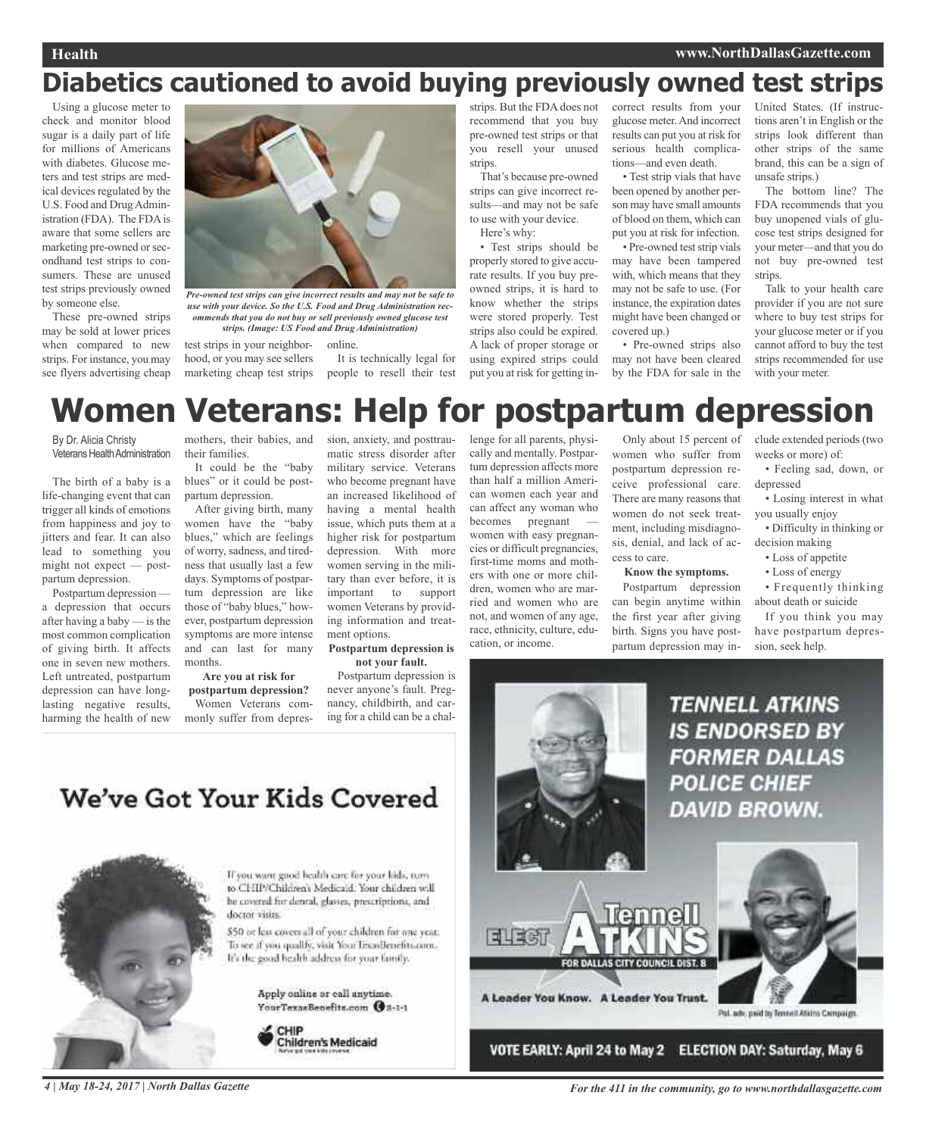## **Diabetics cautioned to avoid buying previously owned test strips**

Using a glucose meter to check and monitor blood sugar is a daily part of life for millions of Americans with diabetes. Glucose meters and test strips are medical devices regulated by the U.S. Food and DrugAdministration (FDA). The FDAis aware that some sellers are marketing pre-owned or secondhand test strips to consumers. These are unused test strips previously owned by someone else.

These pre-owned strips may be sold at lower prices when compared to new strips. For instance, you may see flyers advertising cheap



*use with your device. So the U.S. Food and Drug Administration recommends that you do not buy or sell previously owned glucose test strips. (Image: US Food and Drug Administration)*

test strips in your neighboronline.

hood, or you may see sellers marketing cheap test strips It is technically legal for people to resell their test strips. But the FDA does not recommend that you buy pre-owned test strips or that you resell your unused strips.

That's because pre-owned strips can give incorrect results—and may not be safe to use with your device. Here's why:

• Test strips should be properly stored to give accurate results. If you buy preowned strips, it is hard to know whether the strips were stored properly. Test strips also could be expired. A lack of proper storage or using expired strips could put you at risk for getting in-

correct results from your glucose meter.And incorrect results can put you at risk for serious health complications—and even death.

> • Test strip vials that have been opened by another person may have small amounts of blood on them, which can put you at risk for infection.

> • Pre-owned test strip vials may have been tampered with, which means that they may not be safe to use. (For instance, the expiration dates might have been changed or covered up.)

> • Pre-owned strips also may not have been cleared by the FDA for sale in the

United States. (If instructions aren't in English or the strips look different than other strips of the same brand, this can be a sign of unsafe strips.)

The bottom line? The FDA recommends that you buy unopened vials of glucose test strips designed for your meter—and that you do not buy pre-owned test strips.

Talk to your health care provider if you are not sure where to buy test strips for your glucose meter or if you cannot afford to buy the test strips recommended for use with your meter.

### mothers, their babies, and **Women Veterans: Help for postpartum depression**

By Dr. Alicia Christy Veterans Health Administration

The birth of a baby is a life-changing event that can trigger all kinds of emotions from happiness and joy to jitters and fear. It can also lead to something you might not expect — postpartum depression.

Postpartum depression a depression that occurs after having a baby — is the most common complication of giving birth. It affects one in seven new mothers. Left untreated, postpartum depression can have longlasting negative results, harming the health of new

their families. It could be the "baby blues" or it could be post-

partum depression. After giving birth, many women have the "baby blues," which are feelings of worry, sadness, and tiredness that usually last a few days. Symptoms of postpartum depression are like those of "baby blues," however, postpartum depression symptoms are more intense

and can last for many months.

### **Are you at risk for**

**postpartum depression?** Women Veterans commonly suffer from depression, anxiety, and posttraumatic stress disorder after military service. Veterans who become pregnant have an increased likelihood of having a mental health issue, which puts them at a higher risk for postpartum depression. With more women serving in the military than ever before, it is important to support women Veterans by providing information and treatment options.

#### **Postpartum depression is not your fault.**

Postpartum depression is never anyone's fault. Pregnancy, childbirth, and caring for a child can be a challenge for all parents, physically and mentally. Postpartum depression affects more than half a million American women each year and can affect any woman who becomes pregnant —

women with easy pregnancies or difficult pregnancies, first-time moms and mothers with one or more children, women who are married and women who are not, and women of any age, race, ethnicity, culture, education, or income.

Only about 15 percent of women who suffer from postpartum depression receive professional care. There are many reasons that women do not seek treatment, including misdiagnosis, denial, and lack of access to care.

**Know the symptoms.**

Postpartum depression can begin anytime within the first year after giving birth. Signs you have postpartum depression may include extended periods (two weeks or more) of:

• Feeling sad, down, or depressed

• Losing interest in what you usually enjoy

• Difficulty in thinking or decision making

- Loss of appetite
- Loss of energy

• Frequently thinking about death or suicide

If you think you may have postpartum depression, seek help.



We've Got Your Kids Covered



If you want good bealth care for your kids, turn to CHIP/Children's Medicaid. Your children will he covered for dental, glasses, prescriptions, and doctor visits.

\$50 or less covers all of your children for one year. To see if you qualify, visit Your Texas Benefits com-It's the good bealth address for your family.

> Apply online or call anytime. YourTexasBenefits.com @8-1-1

CHIP Children's Medicaid

4 | May 18-24, 2017 | North Dallas Gazette **State Assembly** For the 411 in the community, go to www.northdallasgazette.com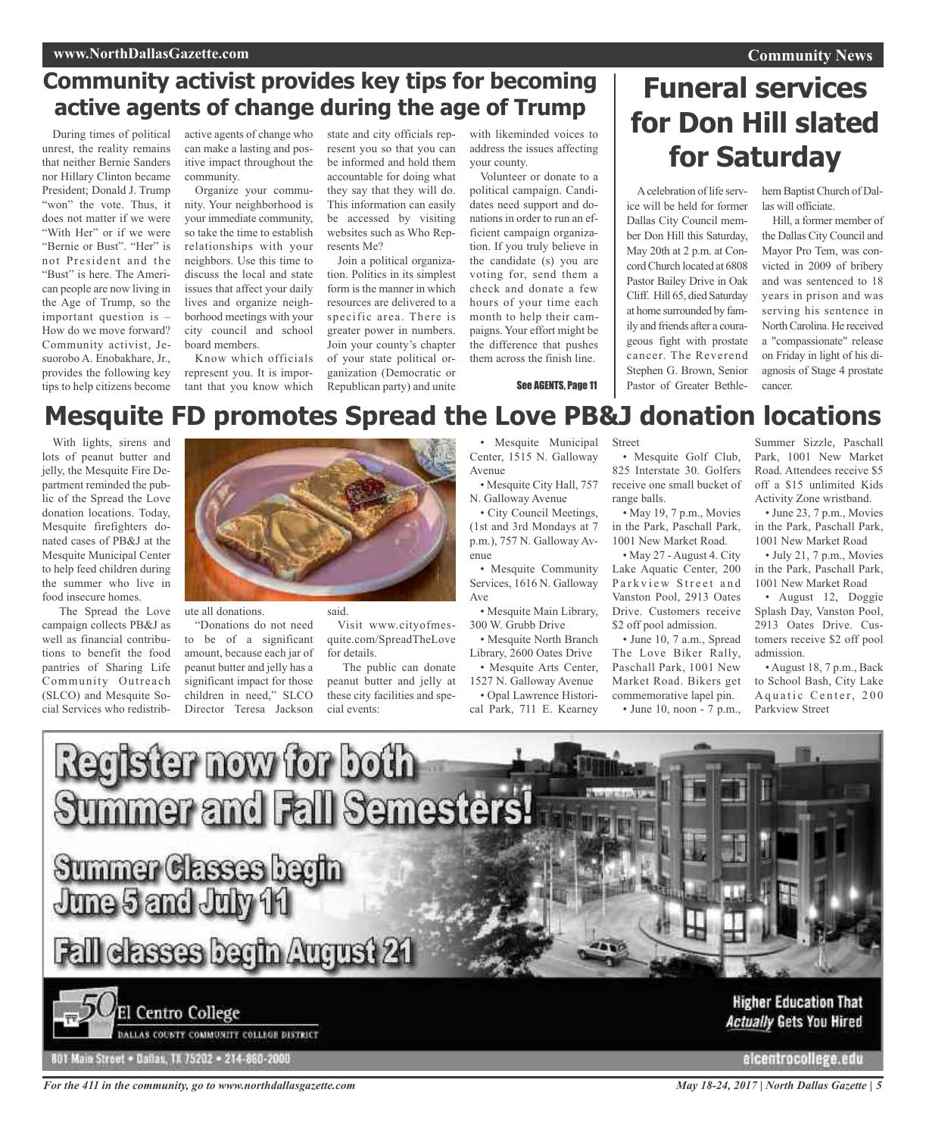### **www.NorthDallasGazette.com**

### **Community activist provides key tips for becoming active agents of change during the age of Trump**

During times of political unrest, the reality remains that neither Bernie Sanders nor Hillary Clinton became President; Donald J. Trump "won" the vote. Thus, it does not matter if we were "With Her" or if we were "Bernie or Bust". "Her" is not President and the "Bust" is here. The American people are now living in the Age of Trump, so the important question is – How do we move forward? Community activist, Jesuorobo A. Enobakhare, Jr., provides the following key tips to help citizens become

active agents of change who can make a lasting and positive impact throughout the community.

Organize your community. Your neighborhood is your immediate community, so take the time to establish relationships with your neighbors. Use this time to discuss the local and state issues that affect your daily lives and organize neighborhood meetings with your city council and school board members.

Know which officials represent you. It is important that you know which

state and city officials represent you so that you can be informed and hold them accountable for doing what they say that they will do. This information can easily be accessed by visiting websites such as Who Represents Me?

Join a political organization. Politics in its simplest form is the manner in which resources are delivered to a specific area. There is greater power in numbers. Join your county's chapter of your state political organization (Democratic or Republican party) and unite

with likeminded voices to address the issues affecting your county.

Volunteer or donate to a political campaign. Candidates need support and donations in order to run an efficient campaign organization. If you truly believe in the candidate (s) you are voting for, send them a check and donate a few hours of your time each month to help their campaigns. Your effort might be the difference that pushes them across the finish line.

See AGENTS, Page 11

## **Funeral services for Don Hill slated for Saturday**

A celebration of life service will be held for former Dallas City Council member Don Hill this Saturday, May 20th at 2 p.m. at ConcordChurch located at 6808 Pastor Bailey Drive in Oak Cliff. Hill 65, died Saturday at home surrounded by family and friends after a courageous fight with prostate cancer. The Reverend Stephen G. Brown, Senior Pastor of Greater Bethlehem Baptist Church of Dallas will officiate.

Hill, a former member of the Dallas City Council and Mayor Pro Tem, was convicted in 2009 of bribery and was sentenced to 18 years in prison and was serving his sentence in North Carolina. He received a "compassionate" release on Friday in light of his diagnosis of Stage 4 prostate cancer.

## **Mesquite FD promotes Spread the Love PB&J donation locations**

With lights, sirens and lots of peanut butter and jelly, the Mesquite Fire Department reminded the public of the Spread the Love donation locations. Today, Mesquite firefighters donated cases of PB&J at the Mesquite Municipal Center to help feed children during the summer who live in food insecure homes.

The Spread the Love campaign collects PB&J as well as financial contributions to benefit the food pantries of Sharing Life Community Outreach (SLCO) and Mesquite Social Services who redistrib-



ute all donations.

to be of a significant amount, because each jar of peanut butter and jelly has a significant impact for those children in need," SLCO Director Teresa Jackson

said.

"Donations do not need

Visit www.cityofmesquite.com/SpreadTheLove for details. The public can donate

peanut butter and jelly at these city facilities and special events:

Mesquite Municipal Center, 1515 N. Galloway Avenue

• Mesquite City Hall, 757 N. Galloway Avenue

• City Council Meetings, (1st and 3rd Mondays at 7 p.m.), 757 N. Galloway Avenue

• Mesquite Community Services, 1616 N. Galloway Ave

• Mesquite Main Library, 300 W. Grubb Drive

• Mesquite North Branch Library, 2600 Oates Drive • Mesquite Arts Center,

1527 N. Galloway Avenue • Opal Lawrence Histori-

cal Park, 711 E. Kearney

Street

• Mesquite Golf Club, 825 Interstate 30. Golfers receive one small bucket of range balls.

• May 19, 7 p.m., Movies in the Park, Paschall Park, 1001 New Market Road.

• May 27 - August 4. City Lake Aquatic Center, 200 Parkview Street and Vanston Pool, 2913 Oates Drive. Customers receive \$2 off pool admission.

• June 10, 7 a.m., Spread The Love Biker Rally, Paschall Park, 1001 New Market Road. Bikers get commemorative lapel pin. • June 10, noon - 7 p.m.,

Summer Sizzle, Paschall Park, 1001 New Market Road. Attendees receive \$5 off a \$15 unlimited Kids Activity Zone wristband. • June 23, 7 p.m., Movies

in the Park, Paschall Park, 1001 New Market Road

• July 21, 7 p.m., Movies in the Park, Paschall Park, 1001 New Market Road

• August 12, Doggie Splash Day, Vanston Pool, 2913 Oates Drive. Customers receive \$2 off pool admission.

• August 18, 7 p.m., Back to School Bash, City Lake A quatic Center, 200 Parkview Street



DALLAS COUNTY COMMUNITY COLLEGE DISTRICT

801 Main Street . Dallas, TX 75202 . 214-860-2000

*For the 411 in the community, go to www.northdallasgazette.com*

**Actually Gets You Hired** 

elcentrocollege.edu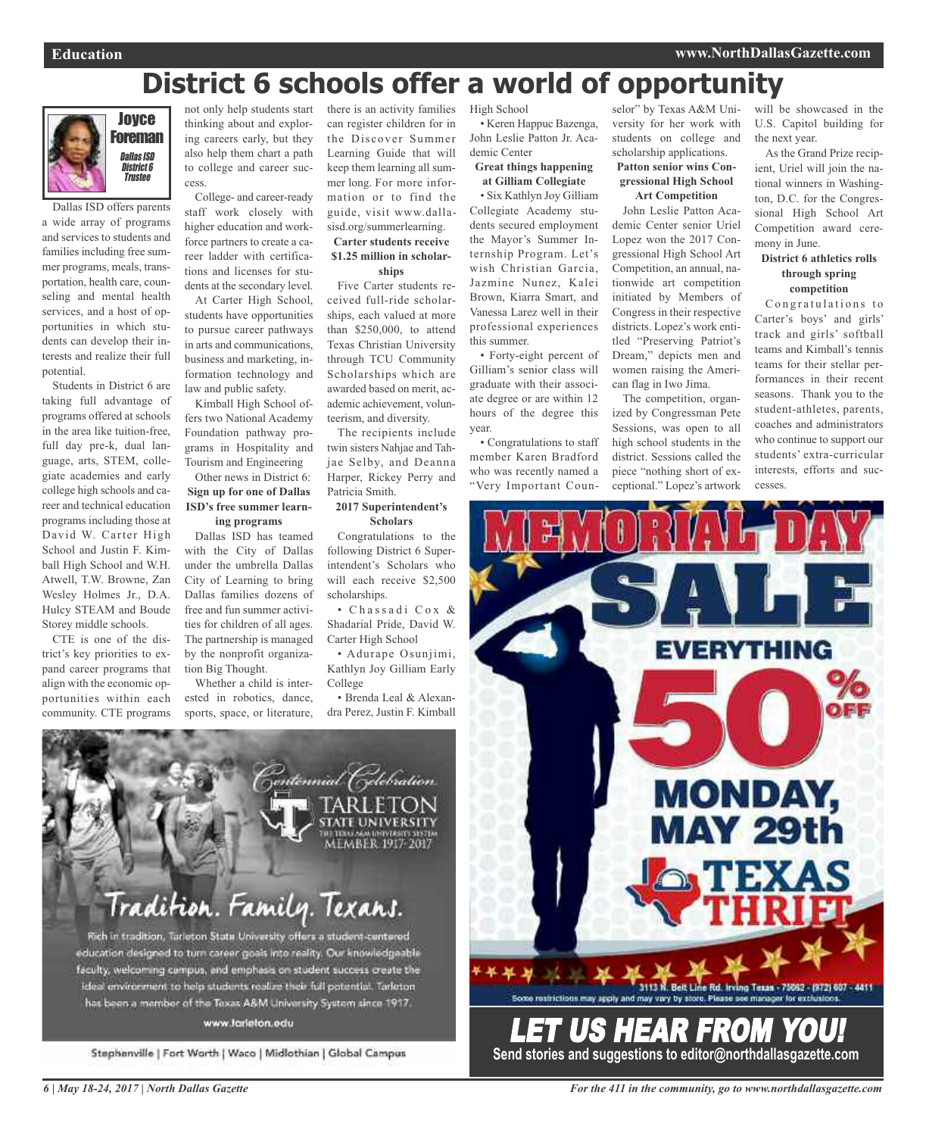## **District 6 schools offer a world of opportunity**



Dallas ISD offers parents a wide array of programs and services to students and families including free summer programs, meals, transportation, health care, counseling and mental health services, and a host of opportunities in which students can develop their interests and realize their full potential.

Students in District 6 are taking full advantage of programs offered at schools in the area like tuition-free, full day pre-k, dual language, arts, STEM, collegiate academies and early college high schools and career and technical education programs including those at David W. Carter High School and Justin F. Kimball High School and W.H. Atwell, T.W. Browne, Zan Wesley Holmes Jr., D.A. Hulcy STEAM and Boude Storey middle schools.

CTE is one of the district's key priorities to expand career programs that align with the economic opportunities within each community. CTE programs

not only help students start thinking about and exploring careers early, but they also help them chart a path to college and career success.

College- and career-ready staff work closely with higher education and workforce partners to create a career ladder with certifications and licenses for students at the secondary level.

At Carter High School, students have opportunities to pursue career pathways in arts and communications, business and marketing, information technology and law and public safety.

Kimball High School offers two National Academy Foundation pathway programs in Hospitality and Tourism and Engineering

### Other news in District 6: **Sign up for one of Dallas ISD's free summer learning programs**

Dallas ISD has teamed with the City of Dallas under the umbrella Dallas City of Learning to bring Dallas families dozens of free and fun summer activities for children of all ages. The partnership is managed by the nonprofit organization Big Thought.

Whether a child is interested in robotics, dance, sports, space, or literature, there is an activity families can register children for in the Discover Summer Learning Guide that will keep them learning all summer long. For more information or to find the guide, visit www.dallasisd.org/summerlearning.

### **Carter students receive \$1.25 million in scholar-**

**ships**

Five Carter students received full-ride scholarships, each valued at more than \$250,000, to attend Texas Christian University through TCU Community Scholarships which are awarded based on merit, academic achievement, volunteerism, and diversity.

The recipients include twin sisters Nahjae and Tahjae Selby, and Deanna Harper, Rickey Perry and Patricia Smith.

### **2017 Superintendent's Scholars**

Congratulations to the following District 6 Superintendent's Scholars who will each receive \$2,500 scholarships.

• C h a s s a d i C o x & Shadarial Pride, David W. Carter High School

• Adurape Osunjimi, Kathlyn Joy Gilliam Early College

• Brenda Leal & Alexandra Perez, Justin F. Kimball

High School • Keren Happuc Bazenga, John Leslie Patton Jr. Academic Center

**Great things happening at Gilliam Collegiate**

• Six Kathlyn Joy Gilliam Collegiate Academy students secured employment the Mayor's Summer Internship Program. Let's wish Christian Garcia, Jazmine Nunez, Kalei Brown, Kiarra Smart, and Vanessa Larez well in their professional experiences this summer.

• Forty-eight percent of Gilliam's senior class will graduate with their associate degree or are within 12 hours of the degree this year.

• Congratulations to staff member Karen Bradford who was recently named a "Very Important Coun-

selor" by Texas A&M University for her work with students on college and scholarship applications.

### **Patton senior wins Congressional High School Art Competition**

John Leslie Patton Academic Center senior Uriel Lopez won the 2017 Congressional High School Art Competition, an annual, nationwide art competition initiated by Members of Congress in their respective districts. Lopez's work entitled "Preserving Patriot's Dream," depicts men and women raising the American flag in Iwo Jima.

The competition, organized by Congressman Pete Sessions, was open to all high school students in the district. Sessions called the piece "nothing short of exceptional." Lopez's artwork

will be showcased in the U.S. Capitol building for the next year.

As the Grand Prize recipient, Uriel will join the national winners in Washington, D.C. for the Congressional High School Art Competition award ceremony in June.

### **District 6 athletics rolls through spring competition**

Congratulations to Carter's boys' and girls' track and girls' softball teams and Kimball's tennis teams for their stellar performances in their recent seasons. Thank you to the student-athletes, parents, coaches and administrators who continue to support our students' extra-curricular interests, efforts and successes.





### www.farieton.edu

Stephenville | Fort Worth | Waco | Midlothian | Global Campus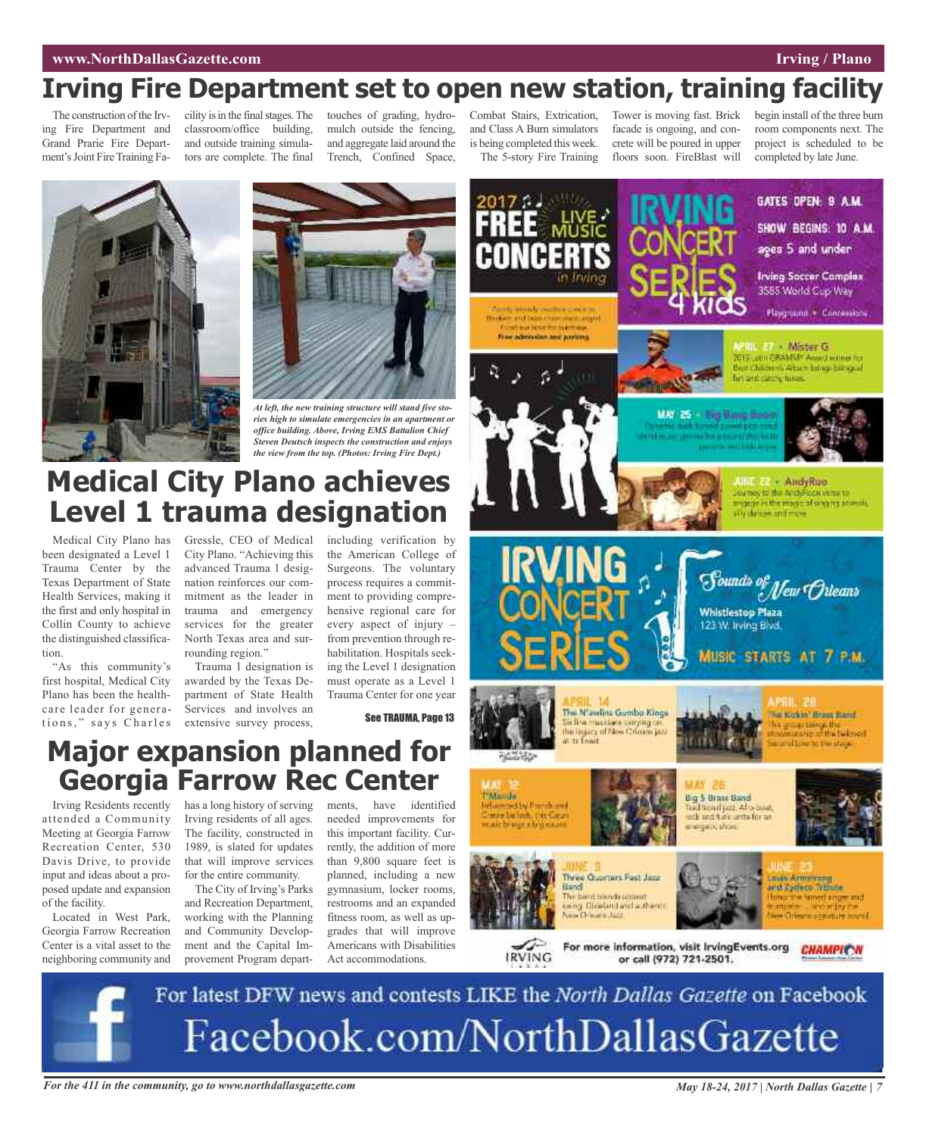### *Entertainmental and <b>Entertainmental and Construction Entertainmental and Construction**Irving**/* **<b>Plano**

## **Irving Fire Department set to open new station, training facility**

The construction of the Irving Fire Department and Grand Prarie Fire Department's Joint Fire Training Fa-

cility is in the final stages. The classroom/office building, and outside training simulators are complete. The final

touches of grading, hydromulch outside the fencing, and aggregate laid around the Trench, Confined Space,

Combat Stairs, Extrication, and Class A Burn simulators is being completed this week. The 5-story Fire Training

Tower is moving fast. Brick facade is ongoing, and concrete will be poured in upper floors soon. FireBlast will

begin install of the three burn room components next. The project is scheduled to be completed by late June.





*ries high to simulate emergencies in an apartment or office building. Above, Irving EMS Battalion Chief Steven Deutsch inspects the construction and enjoys the view from the top. (Photos: Irving Fire Dept.)*

## **Medical City Plano achieves Level 1 trauma designation**

Medical City Plano has been designated a Level 1 Trauma Center by the Texas Department of State Health Services, making it the first and only hospital in Collin County to achieve the distinguished classification.

"As this community's first hospital, Medical City Plano has been the healthcare leader for generations," says Charles Gressle, CEO of Medical City Plano. "Achieving this advanced Trauma 1 designation reinforces our commitment as the leader in trauma and emergency services for the greater North Texas area and surrounding region."

Trauma 1 designation is awarded by the Texas Department of State Health Services and involves an extensive survey process,

including verification by the American College of Surgeons. The voluntary process requires a commitment to providing comprehensive regional care for every aspect of injury – from prevention through rehabilitation. Hospitals seeking the Level 1 designation must operate as a Level 1 Trauma Center for one year

See TRAUMA, Page 13



**Major expansion planned for Georgia Farrow Rec Center**

Irving Residents recently attended a Community Meeting at Georgia Farrow Recreation Center, 530 Davis Drive, to provide input and ideas about a proposed update and expansion of the facility.

Located in West Park, Georgia Farrow Recreation Center is a vital asset to the neighboring community and has a long history of serving Irving residents of all ages. The facility, constructed in 1989, is slated for updates that will improve services for the entire community.

The City of Irving's Parks and Recreation Department, working with the Planning and Community Development and the Capital Improvement Program depart-

needed improvements for this important facility. Currently, the addition of more than 9,800 square feet is planned, including a new gymnasium, locker rooms, restrooms and an expanded fitness room, as well as upgrades that will improve Americans with Disabilities Act accommodations.

ments, have identified



**IRVING** 

men Armstrong and Eyeleso Trittute **Offering Environment** 

For more information, visit irvingEvents.org CHAMPIC W or call (972) 721-2501.

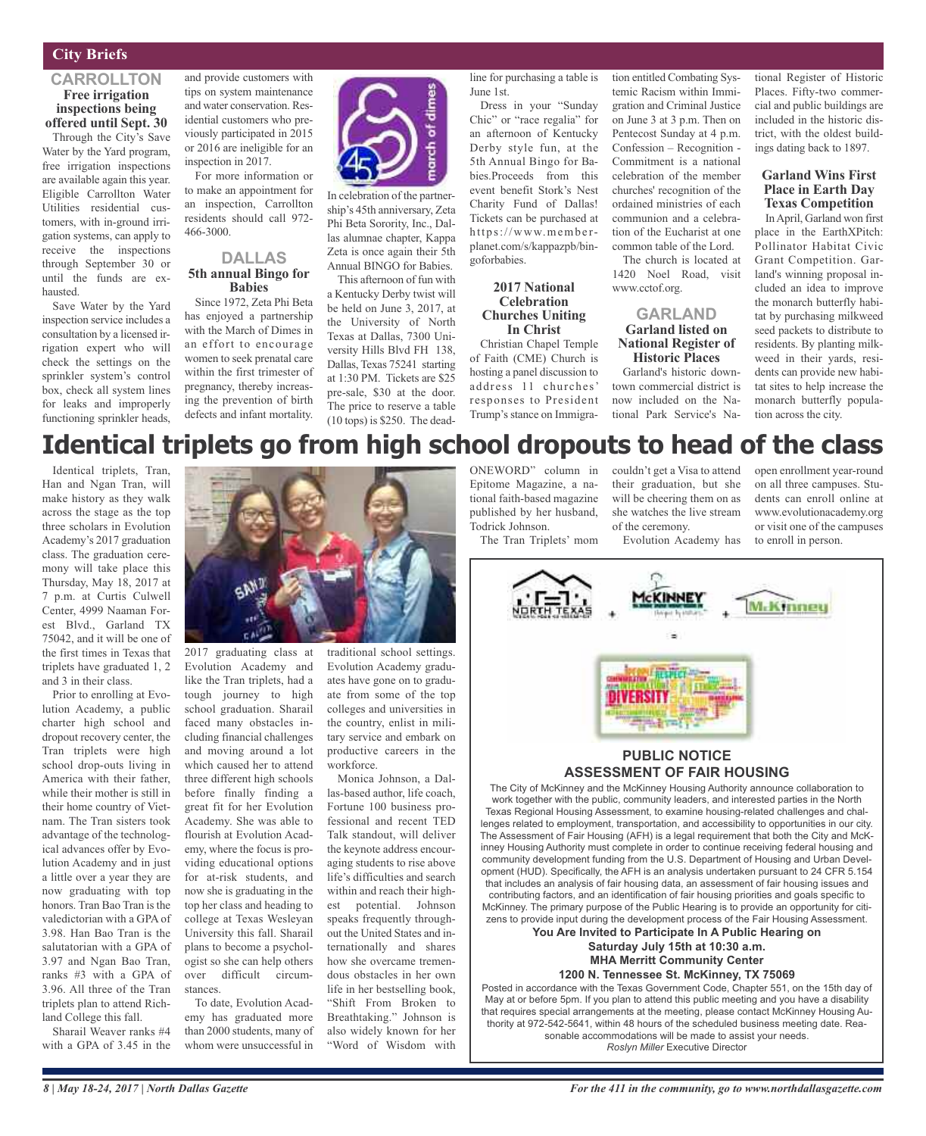### **City Briefs**

### **CARROLLTON Free irrigation inspections being offered until Sept. 30**

Through the City's Save Water by the Yard program, free irrigation inspections are available again this year. Eligible Carrollton Water Utilities residential customers, with in-ground irrigation systems, can apply to receive the inspections through September 30 or until the funds are exhausted.

Save Water by the Yard inspection service includes a consultation by a licensed irrigation expert who will check the settings on the sprinkler system's control box, check all system lines for leaks and improperly functioning sprinkler heads,

and provide customers with tips on system maintenance and water conservation. Residential customers who previously participated in 2015 or 2016 are ineligible for an inspection in 2017.

For more information or to make an appointment for an inspection, Carrollton residents should call 972- 466-3000.

### **DALLAS 5th annual Bingo for Babies**

Since 1972, Zeta Phi Beta has enjoyed a partnership with the March of Dimes in an effort to encourage women to seek prenatal care within the first trimester of pregnancy, thereby increasing the prevention of birth defects and infant mortality.



In celebration of the partnership's 45th anniversary, Zeta Phi Beta Sorority, Inc., Dallas alumnae chapter, Kappa Zeta is once again their 5th Annual BINGO for Babies.

This afternoon of fun with a Kentucky Derby twist will be held on June 3, 2017, at the University of North Texas at Dallas, 7300 University Hills Blvd FH 138, Dallas, Texas 75241 starting at 1:30 PM. Tickets are \$25 pre-sale, \$30 at the door. The price to reserve a table (10 tops) is \$250. The deadline for purchasing a table is June 1st.

Dress in your "Sunday Chic" or "race regalia" for an afternoon of Kentucky Derby style fun, at the 5th Annual Bingo for Babies.Proceeds from this event benefit Stork's Nest Charity Fund of Dallas! Tickets can be purchased at https://www.memberplanet.com/s/kappazpb/bingoforbabies.

### **2017 National Celebration Churches Uniting In Christ**

Christian Chapel Temple of Faith (CME) Church is hosting a panel discussion to address 11 churches' responses to President Trump's stance on Immigration entitled Combating Systemic Racism within Immigration and Criminal Justice on June 3 at 3 p.m. Then on Pentecost Sunday at 4 p.m. Confession – Recognition - Commitment is a national celebration of the member churches' recognition of the ordained ministries of each communion and a celebration of the Eucharist at one common table of the Lord.

The church is located at 1420 Noel Road, visit www.cctof.org.

### **GARLAND Garland listed on National Register of Historic Places**

Garland's historic downtown commercial district is now included on the National Park Service's National Register of Historic Places. Fifty-two commercial and public buildings are included in the historic district, with the oldest buildings dating back to 1897.

### **Garland Wins First Place in Earth Day Texas Competition**

InApril, Garland won first place in the EarthXPitch: Pollinator Habitat Civic Grant Competition. Garland's winning proposal included an idea to improve the monarch butterfly habitat by purchasing milkweed seed packets to distribute to residents. By planting milkweed in their yards, residents can provide new habitat sites to help increase the monarch butterfly population across the city.

## **Identical triplets go from high school dropouts to head of the class**

Identical triplets, Tran, Han and Ngan Tran, will make history as they walk across the stage as the top three scholars in Evolution Academy's 2017 graduation class. The graduation ceremony will take place this Thursday, May 18, 2017 at 7 p.m. at Curtis Culwell Center, 4999 Naaman Forest Blvd., Garland TX 75042, and it will be one of the first times in Texas that triplets have graduated 1, 2 and 3 in their class.

Prior to enrolling at Evolution Academy, a public charter high school and dropout recovery center, the Tran triplets were high school drop-outs living in America with their father, while their mother is still in their home country of Vietnam. The Tran sisters took advantage of the technological advances offer by Evolution Academy and in just a little over a year they are now graduating with top honors. Tran Bao Tran is the valedictorian with a GPA of 3.98. Han Bao Tran is the salutatorian with a GPA of 3.97 and Ngan Bao Tran, ranks #3 with a GPA of 3.96. All three of the Tran triplets plan to attend Richland College this fall.

Sharail Weaver ranks #4 with a GPA of 3.45 in the



Evolution Academy and like the Tran triplets, had a tough journey to high school graduation. Sharail faced many obstacles including financial challenges and moving around a lot which caused her to attend three different high schools before finally finding a great fit for her Evolution Academy. She was able to flourish at Evolution Academy, where the focus is providing educational options for at-risk students, and now she is graduating in the top her class and heading to college at Texas Wesleyan University this fall. Sharail plans to become a psychologist so she can help others over difficult circumstances.

To date, Evolution Academy has graduated more than 2000 students, many of whom were unsuccessful in

traditional school settings. Evolution Academy graduates have gone on to graduate from some of the top colleges and universities in the country, enlist in military service and embark on productive careers in the workforce.

Monica Johnson, a Dallas-based author, life coach, Fortune 100 business professional and recent TED Talk standout, will deliver the keynote address encouraging students to rise above life's difficulties and search within and reach their highest potential. Johnson speaks frequently throughout the United States and internationally and shares how she overcame tremendous obstacles in her own life in her bestselling book, "Shift From Broken to Breathtaking." Johnson is also widely known for her "Word of Wisdom with

ONEWORD" column in Epitome Magazine, a national faith-based magazine published by her husband, Todrick Johnson.

The Tran Triplets' mom

couldn't get a Visa to attend their graduation, but she will be cheering them on as she watches the live stream of the ceremony.

Evolution Academy has

open enrollment year-round on all three campuses. Students can enroll online at www.evolutionacademy.org or visit one of the campuses to enroll in person.

M.Kinney **PUBLIC NOTICE**

## **ASSESSMENT OF FAIR HOUSING**

The City of McKinney and the McKinney Housing Authority announce collaboration to work together with the public, community leaders, and interested parties in the North Texas Regional Housing Assessment, to examine housing-related challenges and challenges related to employment, transportation, and accessibility to opportunities in our city. The Assessment of Fair Housing (AFH) is a legal requirement that both the City and McKinney Housing Authority must complete in order to continue receiving federal housing and community development funding from the U.S. Department of Housing and Urban Development (HUD). Specifically, the AFH is an analysis undertaken pursuant to 24 CFR 5.154 that includes an analysis of fair housing data, an assessment of fair housing issues and contributing factors, and an identification of fair housing priorities and goals specific to McKinney. The primary purpose of the Public Hearing is to provide an opportunity for citizens to provide input during the development process of the Fair Housing Assessment.

**You Are Invited to Participate In A Public Hearing on Saturday July 15th at 10:30 a.m. MHA Merritt Community Center 1200 N. Tennessee St. McKinney, TX 75069**

Posted in accordance with the Texas Government Code, Chapter 551, on the 15th day of May at or before 5pm. If you plan to attend this public meeting and you have a disability that requires special arrangements at the meeting, please contact McKinney Housing Authority at 972-542-5641, within 48 hours of the scheduled business meeting date. Reasonable accommodations will be made to assist your needs. *Roslyn Miller* Executive Director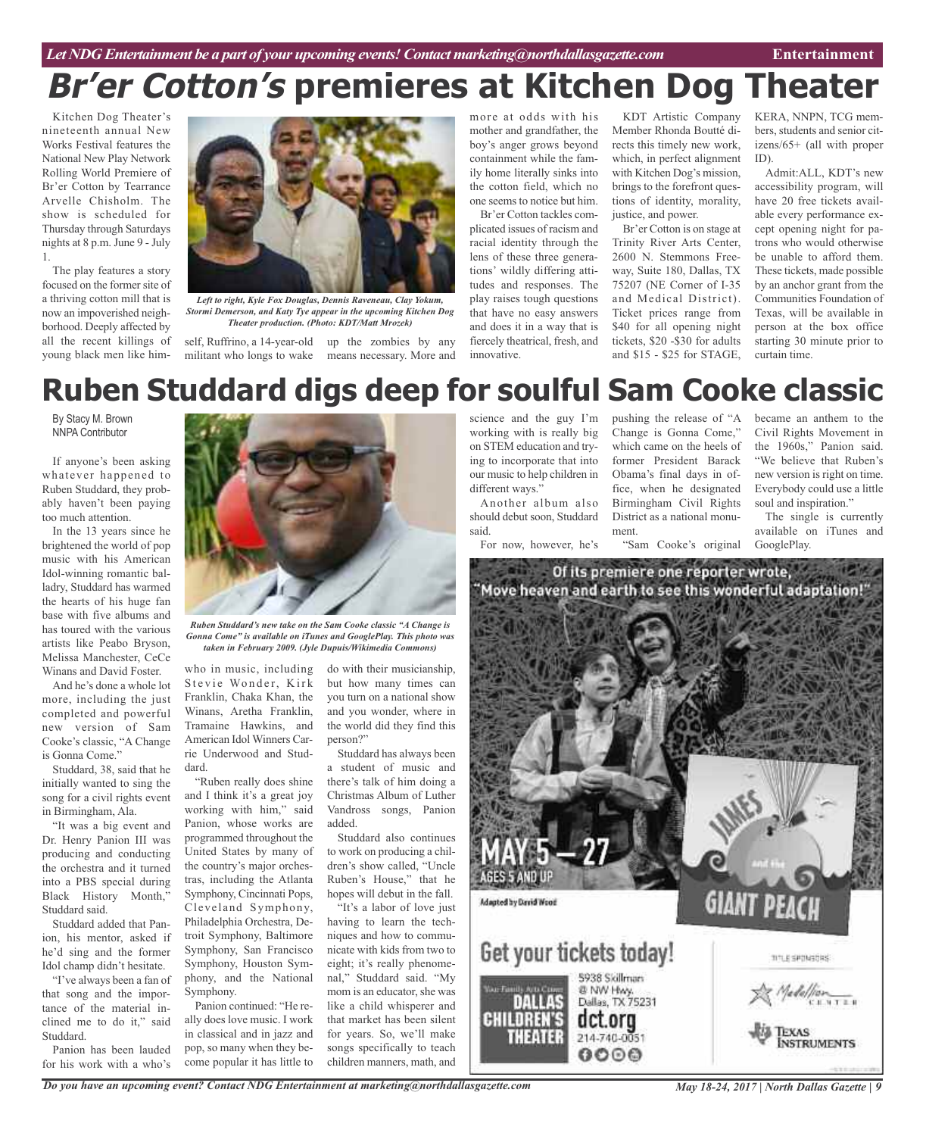## **Br'er Cotton's premieres at Kitchen Dog Theater**

Kitchen Dog Theater's nineteenth annual New Works Festival features the National New Play Network Rolling World Premiere of Br'er Cotton by Tearrance Arvelle Chisholm. The show is scheduled for Thursday through Saturdays nights at 8 p.m. June 9 - July 1.

The play features a story focused on the former site of a thriving cotton mill that is now an impoverished neighborhood. Deeply affected by all the recent killings of young black men like him-



*Left to right, Kyle Fox Douglas, Dennis Raveneau, Clay Yokum, Stormi Demerson, and Katy Tye appear in the upcoming Kitchen Dog Theater production. (Photo: KDT/Matt Mrozek)*

self, Ruffrino, a 14-year-old militant who longs to wake means necessary. More and up the zombies by any more at odds with his mother and grandfather, the boy's anger grows beyond containment while the family home literally sinks into the cotton field, which no one seems to notice but him.

Br'er Cotton tackles complicated issues of racism and racial identity through the lens of these three generations' wildly differing attitudes and responses. The play raises tough questions that have no easy answers and does it in a way that is fiercely theatrical, fresh, and innovative.

KDT Artistic Company Member Rhonda Boutté directs this timely new work, which, in perfect alignment with Kitchen Dog's mission, brings to the forefront questions of identity, morality, justice, and power.

Br'er Cotton is on stage at Trinity River Arts Center, 2600 N. Stemmons Freeway, Suite 180, Dallas, TX 75207 (NE Corner of I-35 and Medical District). Ticket prices range from \$40 for all opening night tickets, \$20 -\$30 for adults and \$15 - \$25 for STAGE, KERA, NNPN, TCG members, students and senior citizens/65+ (all with proper ID).

Admit:ALL, KDT's new accessibility program, will have 20 free tickets available every performance except opening night for patrons who would otherwise be unable to afford them. These tickets, made possible by an anchor grant from the Communities Foundation of Texas, will be available in person at the box office starting 30 minute prior to curtain time.

## **Ruben Studdard digs deep for soulful Sam Cooke classic**

By Stacy M. Brown NNPA Contributor

If anyone's been asking whatever happened to Ruben Studdard, they probably haven't been paying too much attention.

In the 13 years since he brightened the world of pop music with his American Idol-winning romantic balladry, Studdard has warmed the hearts of his huge fan base with five albums and has toured with the various artists like Peabo Bryson, Melissa Manchester, CeCe Winans and David Foster.

And he's done a whole lot more, including the just completed and powerful new version of Sam Cooke's classic, "A Change is Gonna Come."

Studdard, 38, said that he initially wanted to sing the song for a civil rights event in Birmingham, Ala.

"It was a big event and Dr. Henry Panion III was producing and conducting the orchestra and it turned into a PBS special during Black History Month," Studdard said.

Studdard added that Panion, his mentor, asked if he'd sing and the former Idol champ didn't hesitate.

"I've always been a fan of that song and the importance of the material inclined me to do it," said Studdard.

Panion has been lauded for his work with a who's



*Gonna Come" is available on iTunes and GooglePlay. This photo was taken in February 2009. (Jyle Dupuis/Wikimedia Commons)*

who in music, including Stevie Wonder, Kirk Franklin, Chaka Khan, the Winans, Aretha Franklin, Tramaine Hawkins, and American Idol Winners Carrie Underwood and Studdard.

"Ruben really does shine and I think it's a great joy working with him," said Panion, whose works are programmed throughout the United States by many of the country's major orchestras, including the Atlanta Symphony, Cincinnati Pops, Cleveland Symphony, Philadelphia Orchestra, Detroit Symphony, Baltimore Symphony, San Francisco Symphony, Houston Symphony, and the National Symphony.

Panion continued: "He really does love music. I work in classical and in jazz and pop, so many when they become popular it has little to do with their musicianship, but how many times can you turn on a national show and you wonder, where in the world did they find this person?"

Studdard has always been a student of music and there's talk of him doing a Christmas Album of Luther Vandross songs, Panion added.

Studdard also continues to work on producing a children's show called, "Uncle Ruben's House," that he hopes will debut in the fall.

"It's a labor of love just having to learn the techniques and how to communicate with kids from two to eight; it's really phenomenal," Studdard said. "My mom is an educator, she was like a child whisperer and that market has been silent for years. So, we'll make songs specifically to teach children manners, math, and

science and the guy I'm working with is really big on STEM education and trying to incorporate that into our music to help children in different ways."

Another album also should debut soon, Studdard said.

For now, however, he's

pushing the release of "A Change is Gonna Come," which came on the heels of former President Barack Obama's final days in office, when he designated Birmingham Civil Rights District as a national monument.

"Sam Cooke's original

became an anthem to the Civil Rights Movement in the 1960s," Panion said. "We believe that Ruben's new version is right on time. Everybody could use a little soul and inspiration."

The single is currently available on iTunes and GooglePlay.



*Do you have an upcoming event? Contact NDG Entertainment at marketing@northdallasgazette.com*

*May 18-24, 2017 | North Dallas Gazette | 9*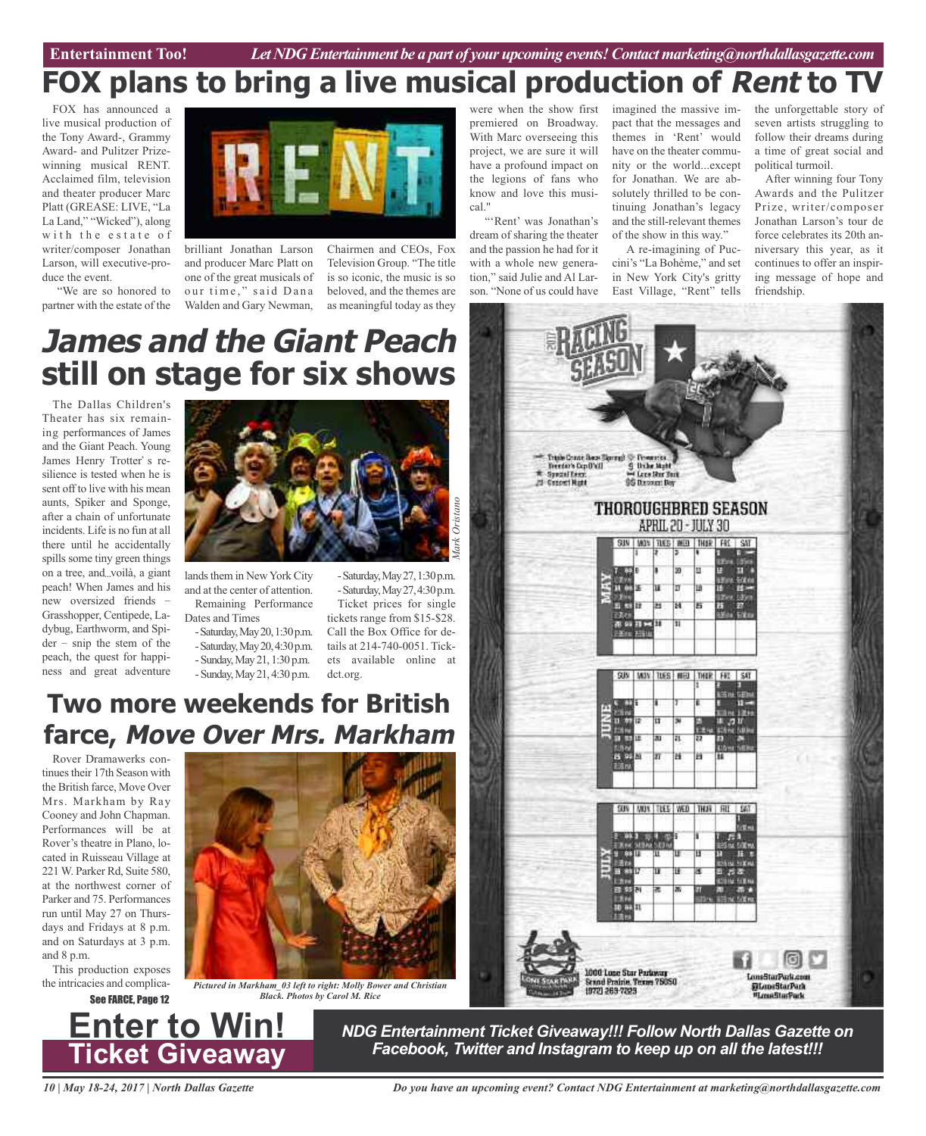## **FOX plans to bring a live musical production of Rent to TV**

FOX has announced a live musical production of the Tony Award-, Grammy Award- and Pulitzer Prizewinning musical RENT. Acclaimed film, television and theater producer Marc Platt (GREASE: LIVE, "La La Land," "Wicked"), along with the estate of writer/composer Jonathan Larson, will executive-produce the event.

"We are so honored to partner with the estate of the



brilliant Jonathan Larson and producer Marc Platt on one of the great musicals of our time," said Dana Walden and Gary Newman,

Chairmen and CEOs, Fox Television Group. "The title is so iconic, the music is so beloved, and the themes are as meaningful today as they

were when the show first premiered on Broadway. With Marc overseeing this project, we are sure it will have a profound impact on the legions of fans who know and love this musical."

"'Rent' was Jonathan's dream of sharing the theater and the passion he had for it with a whole new generation," said Julie and Al Larson. "None of us could have

imagined the massive impact that the messages and themes in 'Rent' would have on the theater community or the world...except for Jonathan. We are absolutely thrilled to be continuing Jonathan's legacy and the still-relevant themes of the show in this way."

A re-imagining of Puccini's "La Bohème," and set in New York City's gritty East Village, "Rent" tells

the unforgettable story of seven artists struggling to follow their dreams during a time of great social and political turmoil.

After winning four Tony Awards and the Pulitzer Prize, writer/composer Jonathan Larson's tour de force celebrates its 20th anniversary this year, as it continues to offer an inspiring message of hope and friendship.

## **James and the Giant Peach still on stage for six shows**

The Dallas Children's Theater has six remaining performances of James and the Giant Peach. Young James Henry Trotter's resilience is tested when he is sent off to live with his mean aunts, Spiker and Sponge, after a chain of unfortunate incidents. Life is no fun at all there until he accidentally spills some tiny green things on a tree, and...voilà, a giant peach! When James and his new oversized friends Grasshopper, Centipede, Ladybug, Earthworm, and Spi $der - snip$  the stem of the peach, the quest for happiness and great adventure



lands them in New York City and at the center of attention.

Remaining Performance Dates and Times -Saturday,May20,1:30p.m. -Saturday,May20,4:30p.m. -Sunday,May 21, 1:30 p.m. -Sunday,May 21, 4:30 p.m.

-Saturday,May27,1:30p.m. -Saturday,May27,4:30p.m. Ticket prices for single tickets range from \$15-\$28. Call the Box Office for details at 214-740-0051. Tickets available online at dct.org.

## **Two more weekends for British farce, Move Over Mrs. Markham**

Rover Dramawerks continues their 17th Season with the British farce, Move Over Mrs. Markham by Ray Cooney and John Chapman. Performances will be at Rover's theatre in Plano, located in Ruisseau Village at 221 W. Parker Rd, Suite 580, at the northwest corner of Parker and 75. Performances run until May 27 on Thursdays and Fridays at 8 p.m. and on Saturdays at 3 p.m. and 8 p.m.

This production exposes



the intricacies and complica- *Pictured in Markham\_03 left to right: Molly Bower and Christian* **See FARCE. Page 12** *Black. Photos by Carol M. Rice* 



*NDG Entertainment Ticket Giveaway!!! Follow North Dallas Gazette on Facebook, Twitter and Instagram to keep up on all the latest!!!*

*10 | May 18-24, 2017 | North Dallas Gazette*

**Enter to Win!**

**Ticket Giveaway**

*Do you have an upcoming event? Contact NDG Entertainment at marketing@northdallasgazette.com*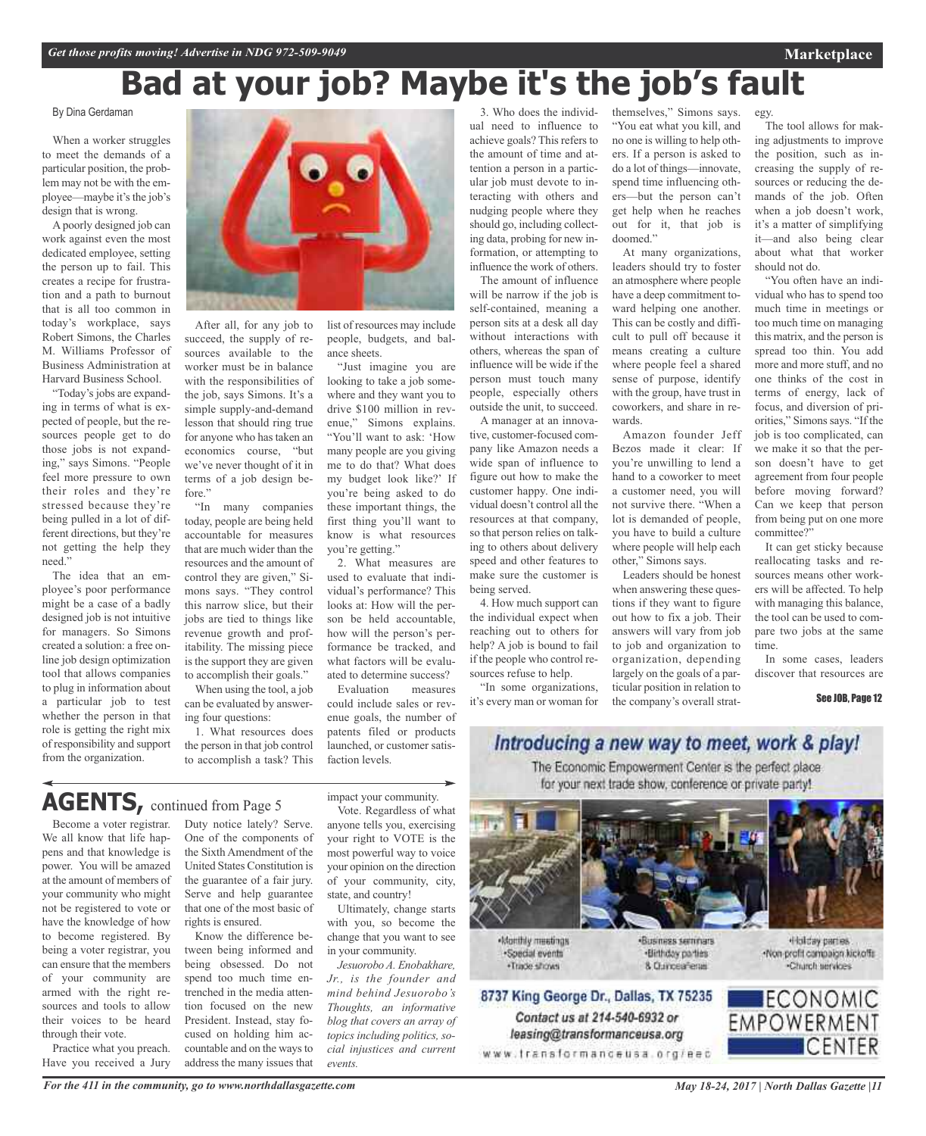#### By Dina Gerdaman

When a worker struggles to meet the demands of a particular position, the problem may not be with the employee—maybe it's the job's design that is wrong.

Apoorly designed job can work against even the most dedicated employee, setting the person up to fail. This creates a recipe for frustration and a path to burnout that is all too common in today's workplace, says Robert Simons, the Charles M. Williams Professor of Business Administration at Harvard Business School.

"Today's jobs are expanding in terms of what is expected of people, but the resources people get to do those jobs is not expanding," says Simons. "People feel more pressure to own their roles and they're stressed because they're being pulled in a lot of different directions, but they're not getting the help they need."

The idea that an employee's poor performance might be a case of a badly designed job is not intuitive for managers. So Simons created a solution: a free online job design optimization tool that allows companies to plug in information about a particular job to test whether the person in that role is getting the right mix of responsibility and support from the organization.



After all, for any job to succeed, the supply of resources available to the worker must be in balance with the responsibilities of the job, says Simons. It's a simple supply-and-demand lesson that should ring true for anyone who has taken an economics course, "but we've never thought of it in terms of a job design before."

"In many companies today, people are being held accountable for measures that are much wider than the resources and the amount of control they are given," Simons says. "They control this narrow slice, but their jobs are tied to things like revenue growth and profitability. The missing piece is the support they are given to accomplish their goals."

When using the tool, a job can be evaluated by answering four questions:

1. What resources does the person in that job control to accomplish a task? This list of resources may include people, budgets, and balance sheets.

"Just imagine you are looking to take a job somewhere and they want you to drive \$100 million in revenue," Simons explains. "You'll want to ask: 'How many people are you giving me to do that? What does my budget look like?' If you're being asked to do these important things, the first thing you'll want to know is what resources you're getting."

2. What measures are used to evaluate that individual's performance? This looks at: How will the person be held accountable, how will the person's performance be tracked, and what factors will be evaluated to determine success?

Evaluation measures could include sales or revenue goals, the number of patents filed or products launched, or customer satisfaction levels.

AGENTS, continued from Page 5

Become a voter registrar. We all know that life happens and that knowledge is power. You will be amazed at the amount of members of your community who might not be registered to vote or have the knowledge of how to become registered. By being a voter registrar, you can ensure that the members of your community are armed with the right resources and tools to allow their voices to be heard through their vote.

Practice what you preach. Have you received a Jury Duty notice lately? Serve. One of the components of the Sixth Amendment of the United States Constitution is the guarantee of a fair jury. Serve and help guarantee that one of the most basic of rights is ensured.

Know the difference between being informed and being obsessed. Do not spend too much time entrenched in the media attention focused on the new President. Instead, stay focused on holding him accountable and on the ways to address the many issues that impact your community.

Vote. Regardless of what anyone tells you, exercising your right to VOTE is the most powerful way to voice your opinion on the direction of your community, city, state, and country!

Ultimately, change starts with you, so become the change that you want to see in your community.

*Jesuorobo A. Enobakhare, Jr., is the founder and mind behind Jesuorobo's Thoughts, an informative blog that covers an array of topics including politics, social injustices and current events.*

3. Who does the individual need to influence to achieve goals? This refers to the amount of time and attention a person in a particular job must devote to interacting with others and nudging people where they should go, including collecting data, probing for new information, or attempting to influence the work of others. The amount of influence

will be narrow if the job is self-contained, meaning a person sits at a desk all day without interactions with others, whereas the span of influence will be wide if the person must touch many people, especially others outside the unit, to succeed. A manager at an innova-

tive, customer-focused company like Amazon needs a wide span of influence to figure out how to make the customer happy. One individual doesn't control all the resources at that company, so that person relies on talking to others about delivery speed and other features to make sure the customer is being served.

4. How much support can the individual expect when reaching out to others for help? A job is bound to fail if the people who control resources refuse to help.

"In some organizations, it's every man or woman for themselves," Simons says. "You eat what you kill, and no one is willing to help others. If a person is asked to do a lot of things—innovate, spend time influencing others—but the person can't get help when he reaches out for it, that job is doomed."

At many organizations, leaders should try to foster an atmosphere where people have a deep commitment toward helping one another. This can be costly and difficult to pull off because it means creating a culture where people feel a shared sense of purpose, identify with the group, have trust in coworkers, and share in rewards.

Amazon founder Jeff Bezos made it clear: If you're unwilling to lend a hand to a coworker to meet a customer need, you will not survive there. "When a lot is demanded of people, you have to build a culture where people will help each other," Simons says.

Leaders should be honest when answering these questions if they want to figure out how to fix a job. Their answers will vary from job to job and organization to organization, depending largely on the goals of a particular position in relation to the company's overall strat-

The tool allows for making adjustments to improve the position, such as increasing the supply of resources or reducing the demands of the job. Often when a job doesn't work, it's a matter of simplifying it—and also being clear about what that worker should not do.

egy.

"You often have an individual who has to spend too much time in meetings or too much time on managing this matrix, and the person is spread too thin. You add more and more stuff, and no one thinks of the cost in terms of energy, lack of focus, and diversion of priorities," Simons says. "If the job is too complicated, can we make it so that the person doesn't have to get agreement from four people before moving forward? Can we keep that person from being put on one more committee?"

It can get sticky because reallocating tasks and resources means other workers will be affected. To help with managing this balance, the tool can be used to compare two jobs at the same time.

In some cases, leaders discover that resources are

#### See JOB, Page 12

Introducing a new way to meet, work & play! The Economic Empowerment Center is the perfect place for your next trade show, conference or private party!



Monthly meetings ·Special events · Trade shows

Contact us at 214-540-6932 or

leasing@transformanceusa.org

«Business seminars ·Birthday parties 8. Curiceaferas

Holday parties. -Non-profit campaign kickoffs Church services

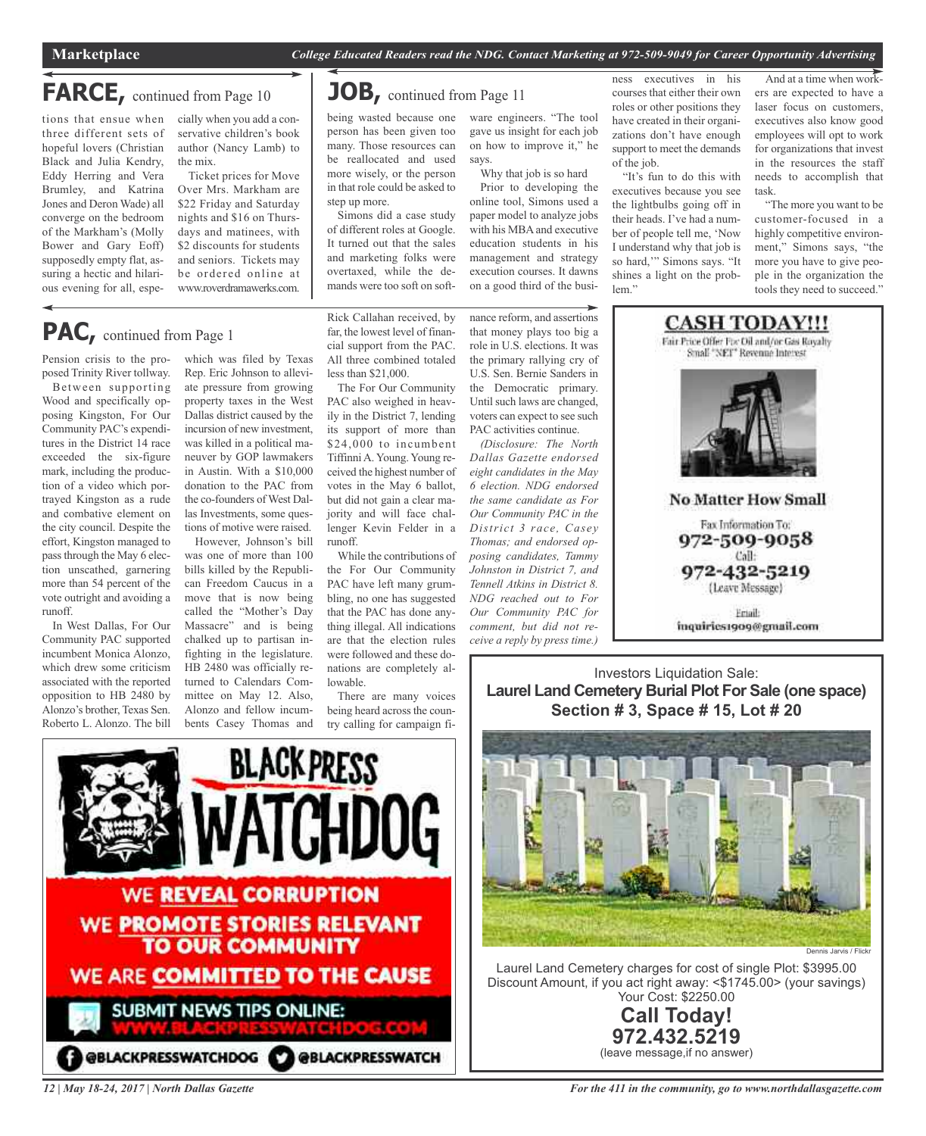### **FARCE,** continued from Page <sup>10</sup>

tions that ensue when cially when you add a conthree different sets of hopeful lovers (Christian Black and Julia Kendry, Eddy Herring and Vera Brumley, and Katrina Jones and Deron Wade) all converge on the bedroom of the Markham's (Molly Bower and Gary Eoff) supposedly empty flat, assuring a hectic and hilarious evening for all, espe-

servative children's book author (Nancy Lamb) to the mix.

Ticket prices for Move Over Mrs. Markham are \$22 Friday and Saturday nights and \$16 on Thursdays and matinees, with \$2 discounts for students and seniors. Tickets may be ordered online at www.roverdramawerks.com.

### **JOB,** continued from Page <sup>11</sup>

being wasted because one person has been given too many. Those resources can be reallocated and used more wisely, or the person in that role could be asked to step up more.

Simons did a case study of different roles at Google. It turned out that the sales and marketing folks were overtaxed, while the demands were too soft on software engineers. "The tool gave us insight for each job on how to improve it," he says. Why that job is so hard

Prior to developing the online tool, Simons used a paper model to analyze jobs with his MBA and executive education students in his management and strategy execution courses. It dawns on a good third of the business executives in his courses that either their own roles or other positions they have created in their organizations don't have enough support to meet the demands of the job.

"It's fun to do this with executives because you see the lightbulbs going off in their heads. I've had a number of people tell me, 'Now I understand why that job is so hard,'" Simons says. "It shines a light on the problem<sup>"</sup>

And at a time when workers are expected to have a laser focus on customers, executives also know good employees will opt to work for organizations that invest in the resources the staff needs to accomplish that task.

"The more you want to be customer-focused in a highly competitive environment," Simons says, "the more you have to give people in the organization the tools they need to succeed."

### **PAC,** continued from Page <sup>1</sup>

Pension crisis to the proposed Trinity River tollway.

Between supporting Wood and specifically opposing Kingston, For Our Community PAC's expenditures in the District 14 race exceeded the six-figure mark, including the production of a video which portrayed Kingston as a rude and combative element on the city council. Despite the effort, Kingston managed to passthrough the May 6 election unscathed, garnering more than 54 percent of the vote outright and avoiding a runoff.

In West Dallas, For Our Community PAC supported incumbent Monica Alonzo, which drew some criticism associated with the reported opposition to HB 2480 by Alonzo's brother, Texas Sen. Roberto L. Alonzo. The bill

which was filed by Texas Rep. Eric Johnson to alleviate pressure from growing property taxes in the West Dallas district caused by the incursion of new investment, was killed in a political maneuver by GOP lawmakers in Austin. With a \$10,000 donation to the PAC from the co-founders of West Dallas Investments, some questions of motive were raised.

However, Johnson's bill was one of more than 100 bills killed by the Republican Freedom Caucus in a move that is now being called the "Mother's Day Massacre" and is being chalked up to partisan infighting in the legislature. HB 2480 was officially returned to Calendars Committee on May 12. Also, Alonzo and fellow incumbents Casey Thomas and Rick Callahan received, by far, the lowest level of financial support from the PAC. All three combined totaled less than \$21,000.

The For Our Community PAC also weighed in heavily in the District 7, lending its support of more than \$24,000 to incumbent TiffinniA. Young. Young received the highest number of votes in the May 6 ballot, but did not gain a clear majority and will face challenger Kevin Felder in a runoff.

While the contributions of the For Our Community PAC have left many grumbling, no one has suggested that the PAC has done anything illegal. All indications are that the election rules were followed and these donations are completely allowable.

There are many voices being heard across the country calling for campaign finance reform, and assertions that money plays too big a role in U.S. elections. It was the primary rallying cry of U.S. Sen. Bernie Sanders in the Democratic primary. Until such laws are changed, voters can expect to see such PAC activities continue.

*(Disclosure: The North Dallas Gazette endorsed eight candidates in the May 6 election. NDG endorsed the same candidate as For Our Community PAC in the District 3 race, Casey Thomas; and endorsed opposing candidates, Tammy Johnston in District 7, and Tennell Atkins in District 8. NDG reached out to For Our Community PAC for comment, but did not receive a reply by press time.)*



Investors Liquidation Sale: **Laurel Land Cemetery Burial Plot For Sale (one space) Section # 3, Space # 15, Lot # 20**



Laurel Land Cemetery charges for cost of single Plot: \$3995.00 Discount Amount, if you act right away: <\$1745.00> (your savings) Your Cost: \$2250.00



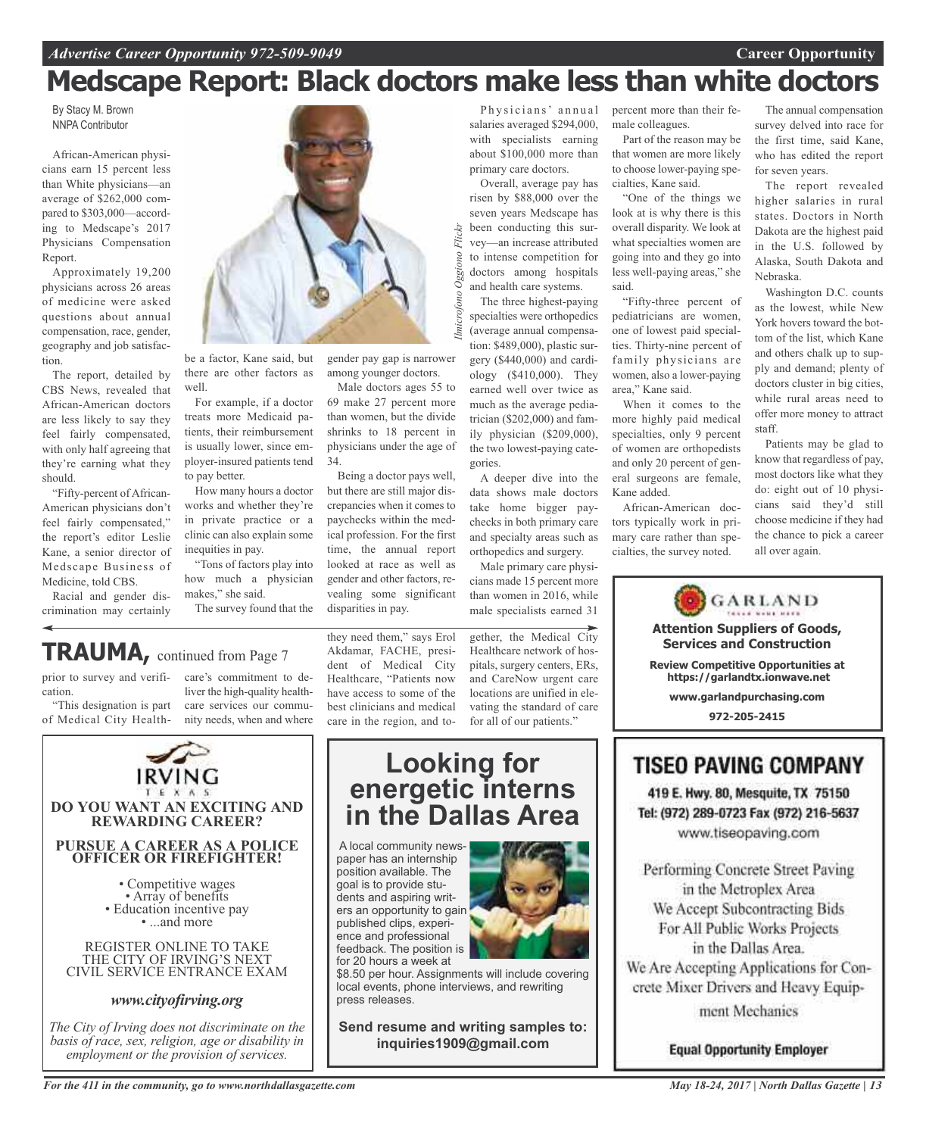# **Medscape Report: Black doctors make less than white doctors**

Flickr

Oggiono

By Stacy M. Brown NNPA Contributor

African-American physicians earn 15 percent less than White physicians—an average of \$262,000 compared to \$303,000—according to Medscape's 2017 Physicians Compensation Report.

Approximately 19,200 physicians across 26 areas of medicine were asked questions about annual compensation, race, gender, geography and job satisfaction.

The report, detailed by CBS News, revealed that African-American doctors are less likely to say they feel fairly compensated, with only half agreeing that they're earning what they should.

"Fifty-percent of African-American physicians don't feel fairly compensated," the report's editor Leslie Kane, a senior director of Medscape Business of Medicine, told CBS.

Racial and gender discrimination may certainly



be a factor, Kane said, but there are other factors as well.

For example, if a doctor treats more Medicaid patients, their reimbursement is usually lower, since employer-insured patients tend to pay better.

How many hours a doctor works and whether they're in private practice or a clinic can also explain some inequities in pay. "Tons of factors play into

how much a physician makes," she said. The survey found that the

*Ilmicrofono Oggiono Flickr*Imicrofono gender pay gap is narrower among younger doctors.

Male doctors ages 55 to 69 make 27 percent more than women, but the divide shrinks to 18 percent in physicians under the age of 34.

Being a doctor pays well, but there are still major discrepancies when it comes to paychecks within the medical profession. For the first time, the annual report looked at race as well as gender and other factors, revealing some significant disparities in pay.

salaries averaged \$294,000, with specialists earning about \$100,000 more than primary care doctors.

Overall, average pay has risen by \$88,000 over the seven years Medscape has been conducting this survey—an increase attributed to intense competition for doctors among hospitals and health care systems.

The three highest-paying specialties were orthopedics (average annual compensation: \$489,000), plastic surgery (\$440,000) and cardiology (\$410,000). They earned well over twice as much as the average pediatrician (\$202,000) and family physician (\$209,000),

the two lowest-paying categories. A deeper dive into the data shows male doctors take home bigger paychecks in both primary care and specialty areas such as orthopedics and surgery.

Male primary care physicians made 15 percent more than women in 2016, while male specialists earned 31

gether, the Medical City Healthcare network of hos-

Physicians' annual percent more than their female colleagues.

> Part of the reason may be that women are more likely to choose lower-paying specialties, Kane said.

> "One of the things we look at is why there is this overall disparity. We look at what specialties women are going into and they go into less well-paying areas," she said.

> "Fifty-three percent of pediatricians are women, one of lowest paid specialties. Thirty-nine percent of family physicians are women, also a lower-paying area," Kane said.

> When it comes to the more highly paid medical specialties, only 9 percent of women are orthopedists and only 20 percent of general surgeons are female, Kane added.

African-American doctors typically work in primary care rather than specialties, the survey noted.

The annual compensation survey delved into race for the first time, said Kane, who has edited the report for seven years.

The report revealed higher salaries in rural states. Doctors in North Dakota are the highest paid in the U.S. followed by Alaska, South Dakota and Nebraska.

Washington D.C. counts as the lowest, while New York hovers toward the bottom of the list, which Kane and others chalk up to supply and demand; plenty of doctors cluster in big cities, while rural areas need to offer more money to attract staff.

Patients may be glad to know that regardless of pay, most doctors like what they do: eight out of 10 physicians said they'd still choose medicine if they had the chance to pick a career all over again.

GARLAND **Attention Suppliers of Goods, Services and Construction Review Competitive Opportunities at https://garlandtx.ionwave.net www.garlandpurchasing.com 972-205-2415 TISEO PAVING COMPANY** 

419 E. Hwy. 80, Mesquite, TX 75150 Tel: (972) 289-0723 Fax (972) 216-5637 www.tiseopaving.com

Performing Concrete Street Paving in the Metroplex Area We Accept Subcontracting Bids For All Public Works Projects in the Dallas Area. We Are Accepting Applications for Concrete Mixer Drivers and Heavy Equipment Mechanics

**Equal Opportunity Employer** 

### **TRAUMA,** continued from Page <sup>7</sup>

prior to survey and verification.

"This designation is part of Medical City Healthcare's commitment to deliver the high-quality healthcare services our community needs, when and where



they need them," says Erol Akdamar, FACHE, president of Medical City Healthcare, "Patients now have access to some of the best clinicians and medical care in the region, and to-

pitals, surgery centers, ERs, and CareNow urgent care locations are unified in elevating the standard of care for all of our patients."

### **Looking for energetic interns in the Dallas Area**

A local community newspaper has an internship position available. The goal is to provide students and aspiring writers an opportunity to gain published clips, experience and professional feedback. The position is for 20 hours a week at



\$8.50 per hour. Assignments will include covering local events, phone interviews, and rewriting press releases.

**Send resume and writing samples to: inquiries1909@gmail.com**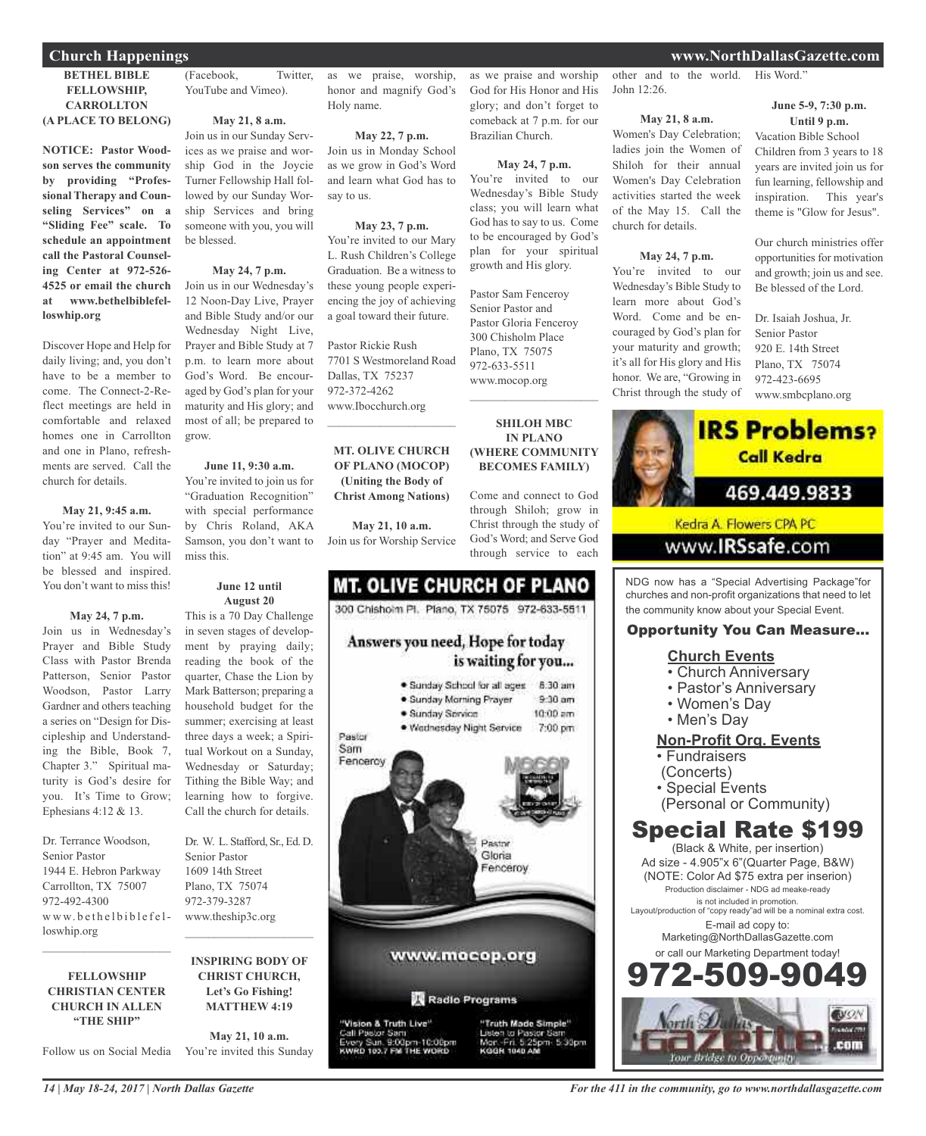### **BETHEL BIBLE FELLOWSHIP, CARROLLTON (A PLACE TO BELONG)**

**NOTICE: Pastor Woodson serves the community by providing "Professional Therapy and Counseling Services" on a "Sliding Fee" scale. To schedule an appointment call the Pastoral Counseling Center at 972-526- 4525 or email the church at www.bethelbiblefelloswhip.org**

Discover Hope and Help for daily living; and, you don't have to be a member to come. The Connect-2-Reflect meetings are held in comfortable and relaxed homes one in Carrollton and one in Plano, refreshments are served. Call the church for details.

### **May 21, 9:45 a.m.**

You're invited to our Sunday "Prayer and Meditation" at 9:45 am. You will be blessed and inspired. You don't want to miss this!

### **May 24, 7 p.m.**

Join us in Wednesday's Prayer and Bible Study Class with Pastor Brenda Patterson, Senior Pastor Woodson, Pastor Larry Gardner and others teaching a series on "Design for Discipleship and Understanding the Bible, Book 7, Chapter 3." Spiritual maturity is God's desire for you. It's Time to Grow; Ephesians 4:12 & 13.

Dr. Terrance Woodson, Senior Pastor 1944 E. Hebron Parkway Carrollton, TX 75007 972-492-4300 www.bethelbiblefelloswhip.org

### **FELLOWSHIP CHRISTIAN CENTER CHURCH IN ALLEN "THE SHIP"**

 $\mathcal{L}_\text{max}$  , which is a set of the set of the set of the set of the set of the set of the set of the set of the set of the set of the set of the set of the set of the set of the set of the set of the set of the set of

*14 | May 18-24, 2017 | North Dallas Gazette*

(Facebook, Twitter, YouTube and Vimeo).

### **May 21, 8 a.m.**

Join us in our Sunday Services as we praise and worship God in the Joycie Turner Fellowship Hall followed by our Sunday Worship Services and bring someone with you, you will be blessed.

### **May 24, 7 p.m.**

Join us in our Wednesday's 12 Noon-Day Live, Prayer and Bible Study and/or our Wednesday Night Live, Prayer and Bible Study at 7 p.m. to learn more about God's Word. Be encouraged by God's plan for your maturity and His glory; and most of all; be prepared to grow.

### **June 11, 9:30 a.m.**

You're invited to join us for "Graduation Recognition" with special performance by Chris Roland, AKA Samson, you don't want to miss this.

### **June 12 until August 20**

This is a 70 Day Challenge in seven stages of development by praying daily; reading the book of the quarter, Chase the Lion by Mark Batterson; preparing a household budget for the summer; exercising at least three days a week; a Spiritual Workout on a Sunday, Wednesday or Saturday; Tithing the Bible Way; and learning how to forgive. Call the church for details.

Dr. W. L. Stafford, Sr., Ed. D. Senior Pastor 1609 14th Street Plano, TX 75074 972-379-3287 www.theship3c.org

### **INSPIRING BODY OF CHRIST CHURCH, Let's Go Fishing! MATTHEW 4:19**

 $\mathcal{L}_\text{max}$  , which is a set of the set of the set of the set of the set of the set of the set of the set of the set of the set of the set of the set of the set of the set of the set of the set of the set of the set of

Follow us on Social Media You're invited this Sunday **May 21, 10 a.m.**

as we praise, worship, honor and magnify God's Holy name.

#### **May 22, 7 p.m.**

Join us in Monday School as we grow in God's Word and learn what God has to say to us.

### **May 23, 7 p.m.**

You're invited to our Mary L. Rush Children's College Graduation. Be a witness to these young people experiencing the joy of achieving a goal toward their future.

Pastor Rickie Rush 7701 S Westmoreland Road Dallas, TX 75237 972-372-4262 www.Ibocchurch.org  $\overline{\phantom{a}}$  , and the set of the set of the set of the set of the set of the set of the set of the set of the set of the set of the set of the set of the set of the set of the set of the set of the set of the set of the s

### **MT. OLIVE CHURCH OF PLANO (MOCOP) (Uniting the Body of Christ Among Nations)**

**May 21, 10 a.m.** Join us for Worship Service

### **MT. OLIVE CHURCH OF PLANO** 300 Chishoim Pl. Plano, TX 75075 972-633-5511 Answers you need, Hope for today is waiting for you... · Sunday School for all ages 8:30 am  $9-30$  am · Sunday Morning Prayer  $10:00$  am · Sunday Service · Wednesday Night Service 7:00 pm Pastor Sam Fenceroy

Pastry Gloria encerov www.mocop.org Radio Programs

"Truth Made Simple"

KODN 1040 AL

5:30pm

Vision & Truth Live" Pastor Sam<br>ry Sun, 9:00pm-10:00pm<br>RD 103.7 FM THE WORD

as we praise and worship God for His Honor and His glory; and don't forget to comeback at 7 p.m. for our Brazilian Church.

### **May 24, 7 p.m.**

You're invited to our Wednesday's Bible Study class; you will learn what God has to say to us. Come to be encouraged by God's plan for your spiritual growth and His glory.

Pastor Sam Fenceroy Senior Pastor and Pastor Gloria Fenceroy 300 Chisholm Place Plano, TX 75075 972-633-5511 www.mocop.org

**SHILOH MBC IN PLANO (WHERE COMMUNITY BECOMES FAMILY)**

 $\overline{\phantom{a}}$  , and the set of the set of the set of the set of the set of the set of the set of the set of the set of the set of the set of the set of the set of the set of the set of the set of the set of the set of the s

Come and connect to God through Shiloh; grow in Christ through the study of God's Word; and Serve God through service to each

other and to the world. His Word." John 12:26.

### **May 21, 8 a.m.**

Women's Day Celebration; ladies join the Women of Shiloh for their annual Women's Day Celebration activities started the week of the May 15. Call the church for details.

### **May 24, 7 p.m.**

You're invited to our Wednesday's Bible Study to learn more about God's Word. Come and be encouraged by God's plan for your maturity and growth; it's all for His glory and His honor. We are, "Growing in Christ through the study of

### **June 5-9, 7:30 p.m. Until 9 p.m.**

Vacation Bible School Children from 3 years to 18 years are invited join us for fun learning, fellowship and inspiration. This year's theme is "Glow for Jesus".

Our church ministries offer opportunities for motivation and growth; join us and see. Be blessed of the Lord.

Dr. Isaiah Joshua, Jr. Senior Pastor 920 E. 14th Street Plano, TX 75074 972-423-6695 www.smbcplano.org



NDG now has a "Special Advertising Package"for churches and non-profit organizations that need to let the community know about your Special Event.

### Opportunity You Can Measure...

### **Church Events**

- Church Anniversary
- Pastor's Anniversary
- Women's Day
- Men's Day

### **Non-Profit Org. Events**

- Fundraisers
- (Concerts)
- Special Events
- (Personal or Community)

### Special Rate \$199

(Black & White, per insertion) Ad size - 4.905"x 6"(Quarter Page, B&W) (NOTE: Color Ad \$75 extra per inserion) Production disclaimer - NDG ad meake-ready is not included in promotion. Layout/production of "copy ready"ad will be a nominal extra cost. E-mail ad copy to: Marketing@NorthDallasGazette.com or call our Marketing Department today! 509-9

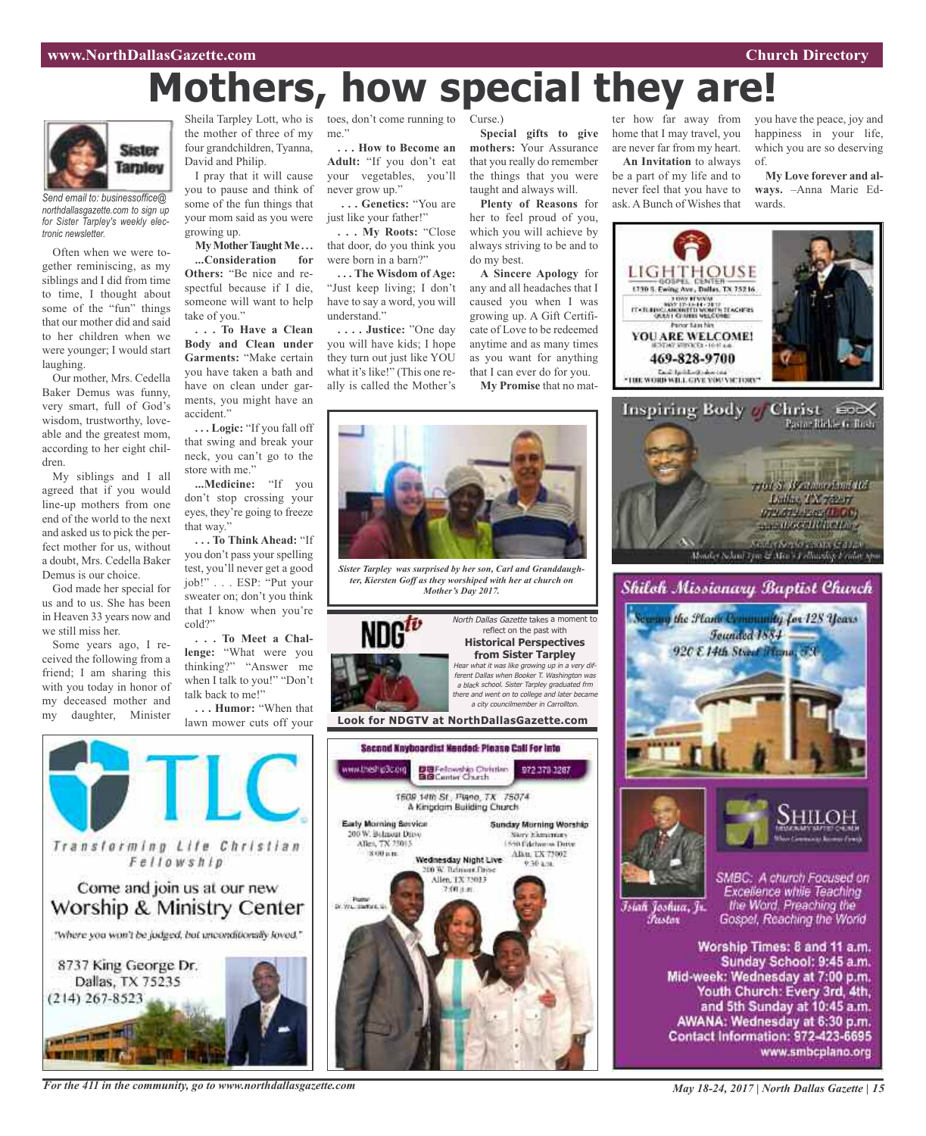# **Mothers, how special they are!**



*Send email to: businessoffice@ northdallasgazette.com to sign up for Sister Tarpley's weekly electronic newsletter.*

Often when we were together reminiscing, as my siblings and I did from time to time, I thought about some of the "fun" things that our mother did and said to her children when we were younger; I would start laughing.

Our mother, Mrs. Cedella Baker Demus was funny, very smart, full of God's wisdom, trustworthy, loveable and the greatest mom, according to her eight children.

My siblings and I all agreed that if you would line-up mothers from one end of the world to the next and asked us to pick the perfect mother for us, without a doubt, Mrs. Cedella Baker Demus is our choice.

God made her special for us and to us. She has been in Heaven 33 years now and we still miss her.

Some years ago, I received the following from a friend; I am sharing this with you today in honor of my deceased mother and my daughter, Minister the mother of three of my four grandchildren, Tyanna, David and Philip.

I pray that it will cause you to pause and think of some of the fun things that your mom said as you were growing up.

**MyMotherTaughtMe . . . ...Consideration for Others:** "Be nice and respectful because if I die, someone will want to help take of you."

**. . . To Have a Clean Body and Clean under Garments:** "Make certain you have taken a bath and have on clean under garments, you might have an accident."

**. . . Logic:** "If you fall off that swing and break your neck, you can't go to the store with me."

**...Medicine:** "If you don't stop crossing your eyes, they're going to freeze that way."

**. . . To Think Ahead:** "If you don't pass your spelling test, you'll never get a good job!" . . . ESP: "Put your sweater on; don't you think that I know when you're cold?"

**. . . To Meet a Challenge:** "What were you thinking?" "Answer me when I talk to you!" "Don't talk back to me!"

**. . . Humor:** "When that lawn mower cuts off your



*For the 411 in the community, go to www.northdallasgazette.com*

Sheila Tarpley Lott, who is toes, don't come running to Curse.) me."

> **. . . How to Become an Adult:** "If you don't eat your vegetables, you'll never grow up."

**. . . Genetics:** "You are just like your father!"

**. . . My Roots:** "Close that door, do you think you were born in a barn?"

**. . . The Wisdom of Age:** "Just keep living; I don't have to say a word, you will understand."

**. . . . Justice:** "One day you will have kids; I hope they turn out just like YOU what it's like!" (This one really is called the Mother's

**Special gifts to give mothers:** Your Assurance that you really do remember the things that you were taught and always will.

**Plenty of Reasons** for her to feel proud of you, which you will achieve by always striving to be and to do my best.

**A Sincere Apology** for any and all headaches that I caused you when I was growing up. A Gift Certificate of Love to be redeemed anytime and as many times as you want for anything that I can ever do for you. **My Promise** that no mat-



*Sister Tarpley was surprised by her son, Carl and Granddaughter, Kiersten Goff as they worshiped with her at church on Mother's Day 2017.*



reflect on the past with **Historical Perspectives from Sister Tarpley** Hear what it was like growing up in <sup>a</sup> very different Dallas when Booker T. Washington was <sup>a</sup> black school. Sister Tarpley graduated frm there and went on to college and later became <sup>a</sup> city councilmember in Carrollton.

North Dallas Gazette takes a moment to

**Look for NDGTV at NorthDallasGazette.com**





you have the peace, joy and happiness in your life, which you are so deserving of.

**My Love forever and always.** –Anna Marie Edwards.





### Shiloh Missionary Baptist Church





Īsiah Joshua, Jr. Fustor

SMBC: A church Focused on Excellence while Teaching the Word. Preaching the Gospel, Reaching the World

Worship Times: 8 and 11 a.m. Sunday School: 9:45 a.m. Mid-week: Wednesday at 7:00 p.m. Youth Church: Every 3rd, 4th, and 5th Sunday at 10:45 a.m. AWANA: Wednesday at 6:30 p.m. Contact Information: 972-423-6695 www.smbcplano.org